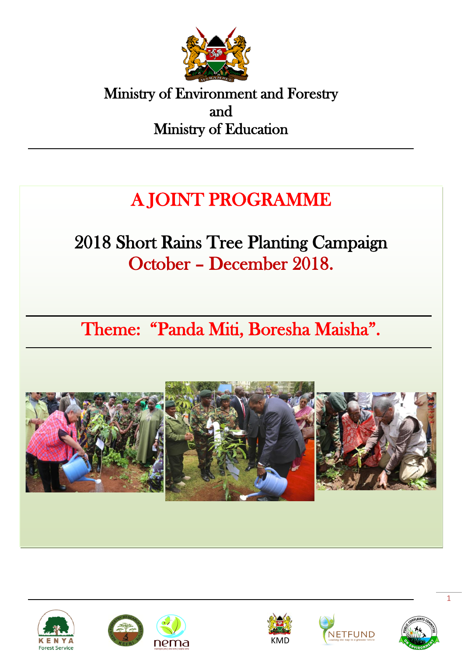

Ministry of Environment and Forestry and Ministry of Education

## A JOINT PROGRAMME j

# 2018 Short Rains Tree Planting Campaign October – December 2018.

Theme: "Panda Miti, Boresha Maisha".











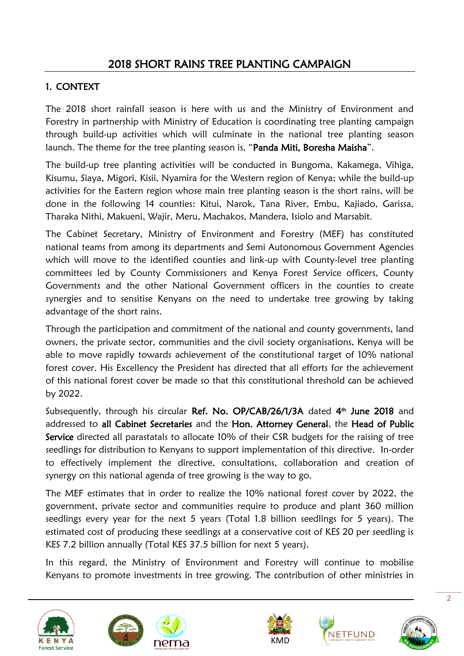#### 1. CONTEXT

The 2018 short rainfall season is here with us and the Ministry of Environment and Forestry in partnership with Ministry of Education is coordinating tree planting campaign through build-up activities which will culminate in the national tree planting season launch. The theme for the tree planting season is, "Panda Miti, Boresha Maisha".

The build-up tree planting activities will be conducted in Bungoma, Kakamega, Vihiga, Kisumu, Siaya, Migori, Kisii, Nyamira for the Western region of Kenya; while the build-up activities for the Eastern region whose main tree planting season is the short rains, will be done in the following 14 counties: Kitui, Narok, Tana River, Embu, Kajiado, Garissa, Tharaka Nithi, Makueni, Wajir, Meru, Machakos, Mandera, Isiolo and Marsabit.

The Cabinet Secretary, Ministry of Environment and Forestry (MEF) has constituted national teams from among its departments and Semi Autonomous Government Agencies which will move to the identified counties and link-up with County-level tree planting committees led by County Commissioners and Kenya Forest Service officers, County Governments and the other National Government officers in the counties to create synergies and to sensitise Kenyans on the need to undertake tree growing by taking advantage of the short rains.

Through the participation and commitment of the national and county governments, land owners, the private sector, communities and the civil society organisations, Kenya will be able to move rapidly towards achievement of the constitutional target of 10% national forest cover. His Excellency the President has directed that all efforts for the achievement of this national forest cover be made so that this constitutional threshold can be achieved by 2022.

Subsequently, through his circular Ref. No. OP/CAB/26/1/3A dated 4<sup>th</sup> June 2018 and addressed to all Cabinet Secretaries and the Hon. Attorney General, the Head of Public Service directed all parastatals to allocate 10% of their CSR budgets for the raising of tree seedlings for distribution to Kenyans to support implementation of this directive. In-order to effectively implement the directive, consultations, collaboration and creation of synergy on this national agenda of tree growing is the way to go.

The MEF estimates that in order to realize the 10% national forest cover by 2022, the government, private sector and communities require to produce and plant 360 million seedlings every year for the next 5 years (Total 1.8 billion seedlings for 5 years). The estimated cost of producing these seedlings at a conservative cost of KES 20 per seedling is KES 7.2 billion annually (Total KES 37.5 billion for next 5 years).

In this regard, the Ministry of Environment and Forestry will continue to mobilise Kenyans to promote investments in tree growing. The contribution of other ministries in









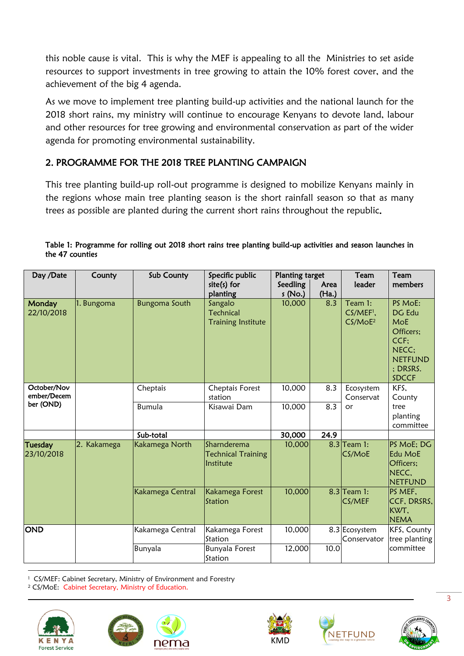this noble cause is vital. This is why the MEF is appealing to all the Ministries to set aside resources to support investments in tree growing to attain the 10% forest cover, and the achievement of the big 4 agenda.

As we move to implement tree planting build-up activities and the national launch for the 2018 short rains, my ministry will continue to encourage Kenyans to devote land, labour and other resources for tree growing and environmental conservation as part of the wider agenda for promoting environmental sustainability.

#### 2. PROGRAMME FOR THE 2018 TREE PLANTING CAMPAIGN

This tree planting build-up roll-out programme is designed to mobilize Kenyans mainly in the regions whose main tree planting season is the short rainfall season so that as many trees as possible are planted during the current short rains throughout the republic.

| Day /Date                    | County      | Sub County           | Specific public<br>$site(s)$ for<br>planting             | <b>Planting target</b><br>Seedling<br>s (No.) | Area<br>(Ha.) | Team<br>leader                                          | Team<br>members                                                                                                |
|------------------------------|-------------|----------------------|----------------------------------------------------------|-----------------------------------------------|---------------|---------------------------------------------------------|----------------------------------------------------------------------------------------------------------------|
| Monday<br>22/10/2018         | 1. Bungoma  | <b>Bungoma South</b> | Sangalo<br><b>Technical</b><br><b>Training Institute</b> | 10,000                                        | 8.3           | Team 1:<br>CS/MEF <sup>1</sup> ,<br>CS/MoE <sup>2</sup> | PS MoE:<br>DG Edu<br><b>MoE</b><br>Officers;<br>$CCF$ :<br>NECC:<br><b>NETFUND</b><br>; DRSRS.<br><b>SDCCF</b> |
| October/Nov<br>ember/Decem   |             | Cheptais             | Cheptais Forest<br>station                               | 10,000                                        | 8.3           | Ecosystem<br>Conservat                                  | KFS.<br>County                                                                                                 |
| ber (OND)                    |             | <b>Bumula</b>        | Kisawai Dam                                              | 10,000                                        | 8.3           | or                                                      | tree<br>planting<br>committee                                                                                  |
|                              |             | Sub-total            |                                                          | 30,000                                        | 24.9          |                                                         |                                                                                                                |
| <b>Tuesday</b><br>23/10/2018 | 2. Kakamega | Kakamega North       | Sharnderema<br><b>Technical Training</b><br>Institute    | 10,000                                        |               | $8.3$ Team 1:<br>CS/MoE                                 | PS MoE; DG<br>Edu MoE<br>Officers:<br>NECC,<br><b>NETFUND</b>                                                  |
|                              |             | Kakamega Central     | Kakamega Forest<br>Station                               | 10,000                                        |               | $8.3$ Team 1:<br>CS/MEF                                 | PS MEF.<br>CCF, DRSRS,<br>KWT.<br><b>NEMA</b>                                                                  |
| <b>OND</b>                   |             | Kakamega Central     | Kakamega Forest<br>Station                               | 10,000                                        |               | 8.3 Ecosystem<br>Conservator                            | KFS, County<br>tree planting                                                                                   |
|                              |             | Bunyala              | <b>Bunyala Forest</b><br>Station                         | 12,000                                        | 10.0          |                                                         | committee                                                                                                      |

| Table 1: Programme for rolling out 2018 short rains tree planting build-up activities and season launches in |  |  |
|--------------------------------------------------------------------------------------------------------------|--|--|
| the 47 counties                                                                                              |  |  |

1 <sup>1</sup> CS/MEF: Cabinet Secretary, Ministry of Environment and Forestry

<sup>2</sup> CS/MoE: Cabinet Secretary, Ministry of Education.









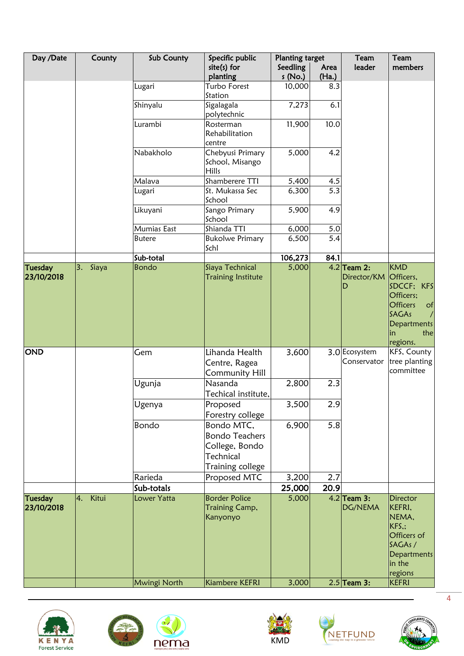| Day /Date                    | County      | Sub County    | Specific public                                                                        | <b>Planting target</b> |               | Team                              | Team                                                                                                |
|------------------------------|-------------|---------------|----------------------------------------------------------------------------------------|------------------------|---------------|-----------------------------------|-----------------------------------------------------------------------------------------------------|
|                              |             |               | $site(s)$ for<br>planting                                                              | Seedling<br>s (No.)    | Area<br>(Ha.) | leader                            | members                                                                                             |
|                              |             | Lugari        | Turbo Forest<br>Station                                                                | 10,000                 | 8.3           |                                   |                                                                                                     |
|                              |             | Shinyalu      | Sigalagala<br>polytechnic                                                              | 7,273                  | 6.1           |                                   |                                                                                                     |
|                              |             | Lurambi       | Rosterman<br>Rehabilitation<br>centre                                                  | 11,900                 | 10.0          |                                   |                                                                                                     |
|                              |             | Nabakholo     | Chebyusi Primary<br>School, Misango<br>Hills                                           | 5,000                  | 4.2           |                                   |                                                                                                     |
|                              |             | Malava        | Shamberere TTI                                                                         | 5,400                  | 4.5           |                                   |                                                                                                     |
|                              |             | Lugari        | St. Mukassa Sec<br>School                                                              | 6,300                  | 5.3           |                                   |                                                                                                     |
|                              |             | Likuyani      | Sango Primary<br>School                                                                | 5,900                  | 4.9           |                                   |                                                                                                     |
|                              |             | Mumias East   | Shianda TTI                                                                            | 6,000                  | 5.0           |                                   |                                                                                                     |
|                              |             | <b>Butere</b> | <b>Bukolwe Primary</b><br>Schl                                                         | 6,500                  | 5.4           |                                   |                                                                                                     |
|                              |             | Sub-total     |                                                                                        | 106,273                | 84.1          |                                   |                                                                                                     |
| <b>Tuesday</b><br>23/10/2018 | Siaya<br>3. | Bondo         | Siaya Technical<br><b>Training Institute</b>                                           | 5,000                  |               | $4.2$ Team 2:<br>Director/KM<br>D | <b>KMD</b><br>Officers,<br>SDCCF; KFS<br>Officers;<br><b>Officers</b><br>of<br><b>SAGAs</b>         |
|                              |             |               |                                                                                        |                        |               |                                   | <b>Departments</b><br>the<br>in<br>regions.                                                         |
| <b>OND</b>                   |             | Gem           | Lihanda Health<br>Centre, Ragea<br><b>Community Hill</b>                               | 3,600                  |               | 3.0 Ecosystem<br>Conservator      | KFS, County<br>tree planting<br>committee                                                           |
|                              |             | Ugunja        | Nasanda<br>Techical institute,                                                         | 2,800                  | 2.3           |                                   |                                                                                                     |
|                              |             | Ugenya        | Proposed<br>Forestry college                                                           | 3,500                  | 2.9           |                                   |                                                                                                     |
|                              |             | Bondo         | Bondo MTC,<br><b>Bondo Teachers</b><br>College, Bondo<br>Technical<br>Training college | 6,900                  | 5.8           |                                   |                                                                                                     |
|                              |             | Rarieda       | Proposed MTC                                                                           | 3,200                  | 2.7           |                                   |                                                                                                     |
|                              |             | Sub-totals    |                                                                                        | 25,000                 | 20.9          |                                   |                                                                                                     |
| <b>Tuesday</b>               | Kitui<br>4. | Lower Yatta   | <b>Border Police</b>                                                                   | 5,000                  |               | $4.2$ Team 3:                     | <b>Director</b>                                                                                     |
| 23/10/2018                   |             |               | <b>Training Camp,</b><br>Kanyonyo                                                      |                        |               | DG/NEMA                           | KEFRI,<br>NEMA,<br>KFS <sub>.</sub> ;<br>Officers of<br>SAGAs /<br>Departments<br>in the<br>regions |
|                              |             | Mwingi North  | Kiambere KEFRI                                                                         | 3,000                  |               | $2.5$ Team 3:                     | <b>KEFRI</b>                                                                                        |





 $\mathbf{Q}$ 





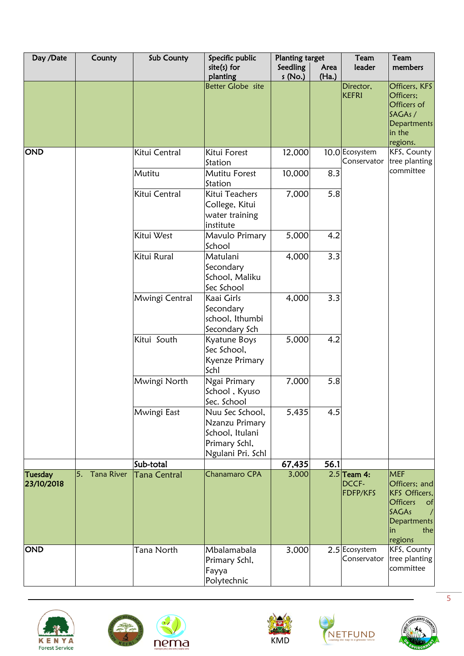| Day /Date             | County                  | Sub County          | Specific public                                                                            | <b>Planting target</b> |               | Team                               | Team                                                                                                                                |
|-----------------------|-------------------------|---------------------|--------------------------------------------------------------------------------------------|------------------------|---------------|------------------------------------|-------------------------------------------------------------------------------------------------------------------------------------|
|                       |                         |                     | $site(s)$ for<br>planting                                                                  | Seedling<br>s (No.)    | Area<br>(Ha.) | leader                             | members                                                                                                                             |
|                       |                         |                     | Better Globe site                                                                          |                        |               | Director,<br><b>KEFRI</b>          | Officers, KFS<br>Officers;<br>Officers of<br>SAGAs /<br>Departments<br>in the                                                       |
|                       |                         |                     |                                                                                            |                        |               |                                    | regions.                                                                                                                            |
| <b>OND</b>            |                         | Kitui Central       | Kitui Forest<br>Station                                                                    | 12,000                 |               | 10.0 Ecosystem<br>Conservator      | KFS, County<br>tree planting                                                                                                        |
|                       |                         | Mutitu              | Mutitu Forest<br>Station                                                                   | 10,000                 | 8.3           |                                    | committee                                                                                                                           |
|                       |                         | Kitui Central       | Kitui Teachers<br>College, Kitui<br>water training<br>institute                            | 7,000                  | 5.8           |                                    |                                                                                                                                     |
|                       |                         | Kitui West          | Mavulo Primary<br>School                                                                   | 5,000                  | 4.2           |                                    |                                                                                                                                     |
|                       |                         | Kitui Rural         | Matulani<br>Secondary<br>School, Maliku<br>Sec School                                      | 4,000                  | 3.3           |                                    |                                                                                                                                     |
|                       |                         | Mwingi Central      | Kaai Girls<br>Secondary<br>school, Ithumbi<br>Secondary Sch                                | 4,000                  | 3.3           |                                    |                                                                                                                                     |
|                       |                         | Kitui South         | Kyatune Boys<br>Sec School,<br>Kyenze Primary<br>Schl                                      | 5,000                  | 4.2           |                                    |                                                                                                                                     |
|                       |                         | Mwingi North        | Ngai Primary<br>School, Kyuso<br>Sec. School                                               | 7,000                  | 5.8           |                                    |                                                                                                                                     |
|                       |                         | Mwingi East         | Nuu Sec School,<br>Nzanzu Primary<br>School, Itulani<br>Primary Schl,<br>Ngulani Pri. Schl | 5,435                  | 4.5           |                                    |                                                                                                                                     |
|                       |                         | Sub-total           |                                                                                            | 67,435                 | 56.1          |                                    |                                                                                                                                     |
| Tuesday<br>23/10/2018 | <b>Tana River</b><br>5. | <b>Tana Central</b> | Chanamaro CPA                                                                              | 3,000                  |               | $2.5$ Team 4:<br>DCCF-<br>FDFP/KFS | <b>MEF</b><br>Officers; and<br>KFS Officers,<br><b>Officers</b><br>of<br>SAGAs<br>$\sqrt{ }$<br>Departments<br>in<br>the<br>regions |
| <b>OND</b>            |                         | Tana North          | Mbalamabala<br>Primary Schl,<br>Fayya<br>Polytechnic                                       | 3,000                  |               | 2.5 Ecosystem<br>Conservator       | KFS, County<br>tree planting<br>committee                                                                                           |









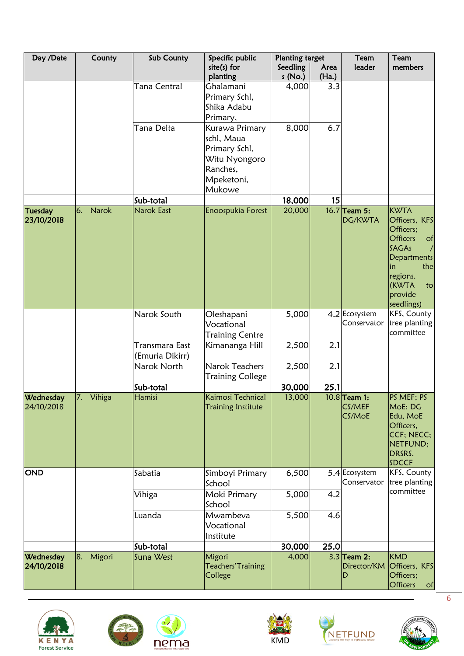| Day /Date                    | County                   | Sub County                        | Specific public                                                                                    | <b>Planting target</b> |               | Team                               | Team                                                                                                                                                                      |
|------------------------------|--------------------------|-----------------------------------|----------------------------------------------------------------------------------------------------|------------------------|---------------|------------------------------------|---------------------------------------------------------------------------------------------------------------------------------------------------------------------------|
|                              |                          |                                   | $site(s)$ for<br>planting                                                                          | Seedling<br>s(No.)     | Area<br>(Ha.) | leader                             | members                                                                                                                                                                   |
|                              |                          | <b>Tana Central</b>               | Ghalamani<br>Primary Schl,<br>Shika Adabu<br>Primary,                                              | 4,000                  | 3.3           |                                    |                                                                                                                                                                           |
|                              |                          | Tana Delta                        | Kurawa Primary<br>schl, Maua<br>Primary Schl,<br>Witu Nyongoro<br>Ranches,<br>Mpeketoni,<br>Mukowe | 8,000                  | 6.7           |                                    |                                                                                                                                                                           |
|                              |                          | Sub-total                         |                                                                                                    | 18,000                 | 15            |                                    |                                                                                                                                                                           |
| <b>Tuesday</b><br>23/10/2018 | <b>Narok</b><br>6.       | Narok East                        | Enoospukia Forest                                                                                  | 20,000                 |               | 16.7 Team 5:<br>DG/KWTA            | <b>KWTA</b><br>Officers, KFS<br>Officers;<br><b>Officers</b><br>of<br><b>SAGAs</b><br>Departments<br>the<br>lin<br>regions.<br><b>KWTA</b><br>to<br>provide<br>seedlings) |
|                              |                          | Narok South                       | Oleshapani<br>Vocational<br><b>Training Centre</b>                                                 | 5,000                  |               | 4.2 Ecosystem<br>Conservator       | KFS, County<br>tree planting<br>committee                                                                                                                                 |
|                              |                          | Transmara East<br>(Emuria Dikirr) | Kimananga Hill                                                                                     | 2,500                  | 2.1           |                                    |                                                                                                                                                                           |
|                              |                          | Narok North                       | Narok Teachers<br><b>Training College</b>                                                          | 2,500                  | 2.1           |                                    |                                                                                                                                                                           |
|                              |                          | Sub-total                         |                                                                                                    | 30,000                 | 25.1          |                                    |                                                                                                                                                                           |
| Wednesday<br>24/10/2018      | $\overline{7}$<br>Vihiga | Hamisi                            | Kaimosi Technical<br><b>Training Institute</b>                                                     | 13,000                 |               | $10.8$ Team 1:<br>CS/MEF<br>CS/MoE | PS MEF; PS<br>MoE; DG<br>Edu, MoE<br>Officers,<br>CCF; NECC;<br>NETFUND;<br>DRSRS.<br>SDCCF                                                                               |
| <b>OND</b>                   |                          | Sabatia                           | Simboyi Primary<br>School                                                                          | 6,500                  |               | 5.4 Ecosystem<br>Conservator       | <b>KFS, County</b><br>tree planting                                                                                                                                       |
|                              |                          | Vihiga                            | Moki Primary<br>School                                                                             | 5,000                  | 4.2           |                                    | committee                                                                                                                                                                 |
|                              |                          | Luanda                            | Mwambeva<br>Vocational<br>Institute                                                                | 5,500                  | 4.6           |                                    |                                                                                                                                                                           |
|                              |                          | Sub-total                         |                                                                                                    | 30,000                 | 25.0          |                                    |                                                                                                                                                                           |
| Wednesday<br>24/10/2018      | Migori<br>8.             | Suna West                         | Migori<br>Teachers' Training<br>College                                                            | 4,000                  |               | $3.3$ Team 2:<br>Director/KM<br>D  | <b>KMD</b><br>Officers, KFS<br>Officers;<br><b>Officers</b><br>$\circ$ f                                                                                                  |





 $\mathbf{Q}$ 



KMD



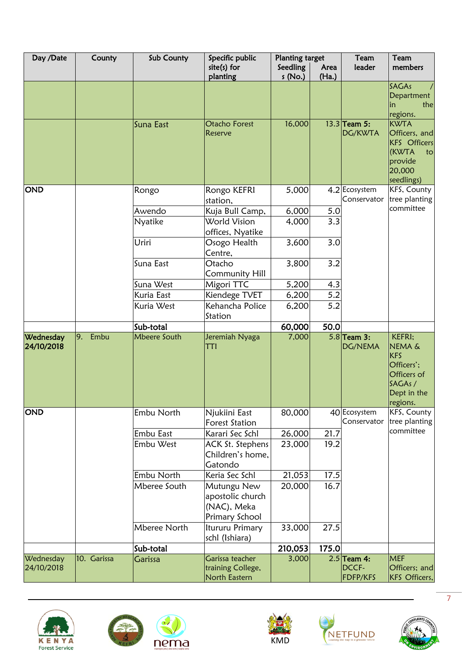| Day /Date  | County      | Sub County                 | Specific public                        | <b>Planting target</b> |               | Team                         | Team                               |
|------------|-------------|----------------------------|----------------------------------------|------------------------|---------------|------------------------------|------------------------------------|
|            |             |                            | $site(s)$ for<br>planting              | Seedling<br>s(No.)     | Area<br>(Ha.) | leader                       | members                            |
|            |             |                            |                                        |                        |               |                              | SAGAs                              |
|            |             |                            |                                        |                        |               |                              | Department                         |
|            |             |                            |                                        |                        |               |                              | the<br>in<br>regions.              |
|            |             | Suna East                  | <b>Otacho Forest</b>                   | 16,000                 |               | $13.3$ Team 5:               | <b>KWTA</b>                        |
|            |             |                            | Reserve                                |                        |               | DG/KWTA                      | Officers, and                      |
|            |             |                            |                                        |                        |               |                              | <b>KFS</b> Officers<br>(KWTA<br>to |
|            |             |                            |                                        |                        |               |                              | provide                            |
|            |             |                            |                                        |                        |               |                              | 20,000                             |
|            |             |                            |                                        |                        |               |                              | seedlings)                         |
| <b>OND</b> |             | Rongo                      | Rongo KEFRI                            | 5,000                  |               | 4.2 Ecosystem<br>Conservator | KFS, County<br>tree planting       |
|            |             | Awendo                     | station,                               |                        |               |                              | committee                          |
|            |             | <b>Nyatike</b>             | Kuja Bull Camp,<br><b>World Vision</b> | 6,000<br>4,000         | 5.0<br>3.3    |                              |                                    |
|            |             |                            | offices, Nyatike                       |                        |               |                              |                                    |
|            |             | Uriri                      | Osogo Health                           | 3,600                  | 3.0           |                              |                                    |
|            |             |                            | Centre,                                |                        |               |                              |                                    |
|            |             | Suna East                  | Otacho                                 | 3,800                  | 3.2           |                              |                                    |
|            |             |                            | <b>Community Hill</b>                  |                        |               |                              |                                    |
|            |             | Suna West                  | Migori TTC                             | 5,200                  | 4.3           |                              |                                    |
|            |             | Kuria East                 | Kiendege TVET                          | 6,200                  | 5.2           |                              |                                    |
|            |             | Kuria West                 | Kehancha Police<br>Station             | 6,200                  | 5.2           |                              |                                    |
|            |             | Sub-total                  |                                        | 60,000                 | 50.0          |                              |                                    |
| Wednesday  | 9.<br>Embu  | <b>Mbeere South</b>        | Jeremiah Nyaga                         | 7,000                  |               | $5.8$ Team 3:                | KEFRI;                             |
| 24/10/2018 |             |                            | TTI                                    |                        |               | DG/NEMA                      | <b>NEMA &amp;</b><br><b>KFS</b>    |
|            |             |                            |                                        |                        |               |                              | Officers';                         |
|            |             |                            |                                        |                        |               |                              | Officers of                        |
|            |             |                            |                                        |                        |               |                              | SAGAs/                             |
|            |             |                            |                                        |                        |               |                              | Dept in the<br>regions.            |
| <b>OND</b> |             | Embu North                 | Njukiini East                          | 80,000                 |               | 40 Ecosystem                 | KFS, County                        |
|            |             |                            | Forest Station                         |                        |               | Conservator                  | tree planting                      |
|            |             | Embu East                  | Karari Sec Schl                        | 26,000                 | 21.7          |                              | committee                          |
|            |             | Embu West                  | ACK St. Stephens                       | 23,000                 | 19.2          |                              |                                    |
|            |             |                            | Children's home,                       |                        |               |                              |                                    |
|            |             |                            | Gatondo                                |                        |               |                              |                                    |
|            |             | Embu North<br>Mberee South | Keria Sec Schl                         | 21,053                 | 17.5<br>16.7  |                              |                                    |
|            |             |                            | Mutungu New<br>apostolic church        | 20,000                 |               |                              |                                    |
|            |             |                            | (NAC), Meka                            |                        |               |                              |                                    |
|            |             |                            | Primary School                         |                        |               |                              |                                    |
|            |             | <b>Mberee North</b>        | Itururu Primary                        | 33,000                 | 27.5          |                              |                                    |
|            |             |                            | schl (Ishiara)                         |                        |               |                              |                                    |
|            |             | Sub-total                  |                                        | 210,053                | 175.0         |                              |                                    |
| Wednesday  | 10. Garissa | Garissa                    | Garissa teacher                        | 3,000                  |               | $2.5$ Team 4:<br>DCCF-       | <b>MEF</b>                         |
| 24/10/2018 |             |                            | training College,<br>North Eastern     |                        |               | FDFP/KFS                     | Officers; and<br>KFS Officers,     |









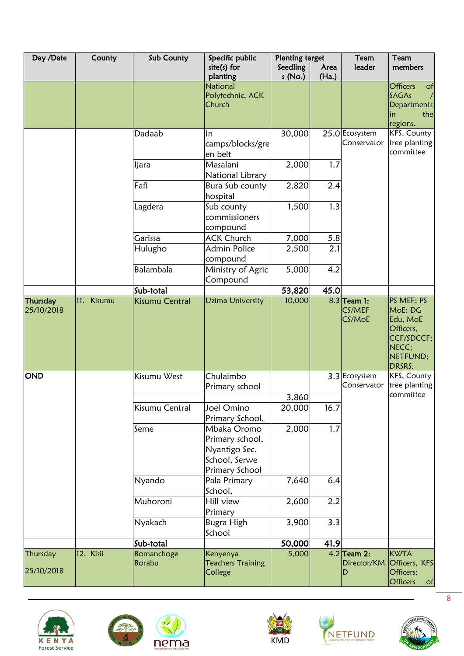| Day /Date              | County     | Sub County           | Specific public<br>$site(s)$ for                                                                      | <b>Planting target</b><br>Seedling | Area  | Team<br>leader                    | Team<br>members                                                                             |
|------------------------|------------|----------------------|-------------------------------------------------------------------------------------------------------|------------------------------------|-------|-----------------------------------|---------------------------------------------------------------------------------------------|
|                        |            |                      | planting                                                                                              | s (No.)                            | (Ha.) |                                   |                                                                                             |
|                        |            |                      | <b>National</b><br>Polytechnic, ACK<br>Church                                                         |                                    |       |                                   | <b>Officers</b><br>$\circ$ f<br><b>SAGAs</b><br><b>Departments</b><br>the<br>in<br>regions. |
|                        |            | Dadaab               | In<br>camps/blocks/gre<br>en belt                                                                     | 30,000                             |       | 25.0 Ecosystem<br>Conservator     | KFS, County<br>tree planting<br>committee                                                   |
|                        |            | ljara                | Masalani<br>National Library                                                                          | 2,000                              | 1.7   |                                   |                                                                                             |
|                        |            | Fafi                 | Bura Sub county<br>hospital                                                                           | 2,820                              | 2.4   |                                   |                                                                                             |
|                        |            | Lagdera              | Sub county<br>commissioners<br>compound                                                               | 1,500                              | 1.3   |                                   |                                                                                             |
|                        |            | Garissa              | <b>ACK Church</b>                                                                                     | 7,000                              | 5.8   |                                   |                                                                                             |
|                        |            | Hulugho              | Admin Police<br>compound                                                                              | 2,500                              | 2.1   |                                   |                                                                                             |
|                        |            | Balambala            | Ministry of Agric<br>Compound                                                                         | 5,000                              | 4.2   |                                   |                                                                                             |
|                        |            | Sub-total            |                                                                                                       | 53,820                             | 45.0  |                                   |                                                                                             |
| Thursday<br>25/10/2018 | 11. Kisumu | Kisumu Central       | <b>Uzima University</b>                                                                               | 10,000                             |       | $8.3$ Team 1:<br>CS/MEF<br>CS/MoE | PS MEF; PS<br>MoE; DG<br>Edu, MoE<br>Officers,<br>CCF/SDCCF;<br>NECC:<br>NETFUND;<br>DRSRS. |
| <b>OND</b>             |            | Kisumu West          | Chulaimbo<br>Primary school                                                                           |                                    |       | 3.3 Ecosystem<br>Conservator      | KFS, County<br>tree planting<br>committee                                                   |
|                        |            | Kisumu Central       | Joel Omino                                                                                            | 3,860<br>20,000                    | 16.7  |                                   |                                                                                             |
|                        |            | Seme                 | Primary School,<br>Mbaka Oromo<br>Primary school,<br>Nyantigo Sec.<br>School, Serwe<br>Primary School | 2,000                              | 1.7   |                                   |                                                                                             |
|                        |            | Nyando               | Pala Primary<br>School,                                                                               | 7,640                              | 6.4   |                                   |                                                                                             |
|                        |            | Muhoroni             | Hill view<br>Primary                                                                                  | 2,600                              | 2.2   |                                   |                                                                                             |
|                        |            | Nyakach              | Bugra High<br>School                                                                                  | 3,900                              | 3.3   |                                   |                                                                                             |
|                        |            | Sub-total            |                                                                                                       | 50,000                             | 41.9  |                                   |                                                                                             |
| Thursday<br>25/10/2018 | 12. Kisii  | Bomanchoge<br>Borabu | Kenyenya<br><b>Teachers Training</b><br>College                                                       | 5,000                              |       | $4.2$ Team 2:<br>Director/KM<br>D | <b>KWTA</b><br>Officers, KFS<br>Officers;<br><b>Officers</b><br>of                          |





 $\bullet$ 







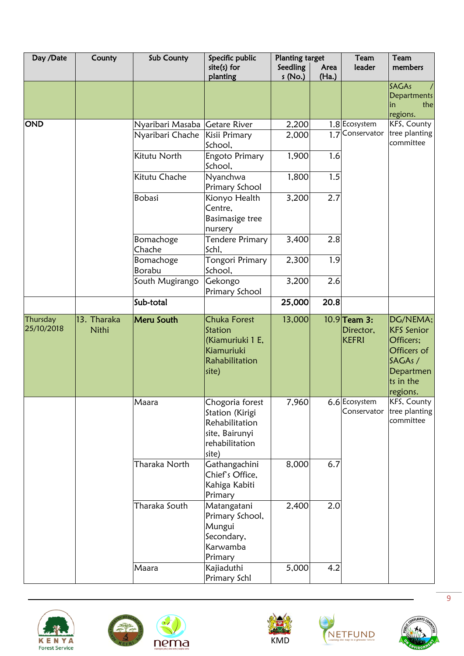| Day /Date              | County               | Sub County                           | Specific public                                                                                   | <b>Planting target</b> |                  | Team                                        | Team                                                                                                       |
|------------------------|----------------------|--------------------------------------|---------------------------------------------------------------------------------------------------|------------------------|------------------|---------------------------------------------|------------------------------------------------------------------------------------------------------------|
|                        |                      |                                      | $site(s)$ for<br>planting                                                                         | Seedling<br>s(No.)     | Area<br>(Ha.)    | leader                                      | members                                                                                                    |
|                        |                      |                                      |                                                                                                   |                        |                  |                                             | <b>SAGAs</b><br><b>Departments</b><br>the<br>in<br>regions.                                                |
| <b>OND</b>             |                      | Nyaribari Masaba<br>Nyaribari Chache | <b>Getare River</b><br>Kisii Primary<br>School,                                                   | 2,200<br>2,000         | $1.\overline{7}$ | 1.8 Ecosystem<br>Conservator                | KFS, County<br>tree planting<br>committee                                                                  |
|                        |                      | Kitutu North                         | Engoto Primary<br>School,                                                                         | 1,900                  | 1.6              |                                             |                                                                                                            |
|                        |                      | Kitutu Chache                        | Nyanchwa<br>Primary School                                                                        | 1,800                  | 1.5              |                                             |                                                                                                            |
|                        |                      | Bobasi                               | Kionyo Health<br>Centre,<br>Basimasige tree<br>nursery                                            | 3,200                  | 2.7              |                                             |                                                                                                            |
|                        |                      | Bomachoge<br>Chache                  | Tendere Primary<br>Schl,                                                                          | 3,400                  | 2.8              |                                             |                                                                                                            |
|                        |                      | Bomachoge<br>Borabu                  | <b>Tongori Primary</b><br>School,                                                                 | 2,300                  | 1.9              |                                             |                                                                                                            |
|                        |                      | South Mugirango                      | Gekongo<br>Primary School                                                                         | 3,200                  | 2.6              |                                             |                                                                                                            |
|                        |                      | Sub-total                            |                                                                                                   | 25,000                 | 20.8             |                                             |                                                                                                            |
| Thursday<br>25/10/2018 | 13. Tharaka<br>Nithi | Meru South                           | <b>Chuka Forest</b><br>Station<br>(Kiamuriuki 1 E,<br>Kiamuriuki<br>Rahabilitation<br>site)       | 13,000                 |                  | $10.9$ Team 3:<br>Director,<br><b>KEFRI</b> | DG/NEMA;<br><b>KFS</b> Senior<br>Officers;<br>Officers of<br>SAGAs /<br>Departmen<br>ts in the<br>regions. |
|                        |                      | Maara                                | Chogoria forest<br>Station (Kirigi<br>Rehabilitation<br>site, Bairunyi<br>rehabilitation<br>site) | 7,960                  |                  | 6.6 Ecosystem<br>Conservator                | KFS, County<br>tree planting<br>committee                                                                  |
|                        |                      | Tharaka North                        | Gathangachini<br>Chief's Office,<br>Kahiga Kabiti<br>Primary                                      | 8,000                  | 6.7              |                                             |                                                                                                            |
|                        |                      | Tharaka South                        | Matangatani<br>Primary School,<br>Mungui<br>Secondary,<br>Karwamba<br>Primary                     | 2,400                  | 2.0              |                                             |                                                                                                            |
|                        |                      | Maara                                | Kajiaduthi<br>Primary Schl                                                                        | 5,000                  | 4.2              |                                             |                                                                                                            |









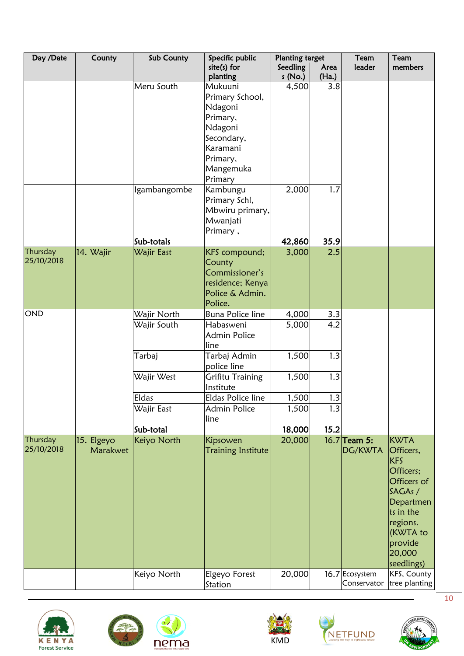| Day /Date              | County                 | Sub County   | Specific public                                                            | <b>Planting target</b> |               | Team                          | Team                                                                                                                                                               |
|------------------------|------------------------|--------------|----------------------------------------------------------------------------|------------------------|---------------|-------------------------------|--------------------------------------------------------------------------------------------------------------------------------------------------------------------|
|                        |                        |              | $site(s)$ for<br>planting                                                  | Seedling<br>s (No.)    | Area<br>(Ha.) | leader                        | members                                                                                                                                                            |
|                        |                        | Meru South   | Mukuuni<br>Primary School,                                                 | 4,500                  | 3.8           |                               |                                                                                                                                                                    |
|                        |                        |              | Ndagoni<br>Primary,                                                        |                        |               |                               |                                                                                                                                                                    |
|                        |                        |              | Ndagoni                                                                    |                        |               |                               |                                                                                                                                                                    |
|                        |                        |              | Secondary,<br>Karamani                                                     |                        |               |                               |                                                                                                                                                                    |
|                        |                        |              | Primary,                                                                   |                        |               |                               |                                                                                                                                                                    |
|                        |                        |              | Mangemuka<br>Primary                                                       |                        |               |                               |                                                                                                                                                                    |
|                        |                        | Igambangombe | Kambungu<br>Primary Schl,                                                  | 2,000                  | 1.7           |                               |                                                                                                                                                                    |
|                        |                        |              | Mbwiru primary,<br>Mwanjati                                                |                        |               |                               |                                                                                                                                                                    |
|                        |                        | Sub-totals   | Primary,                                                                   | 42,860                 | 35.9          |                               |                                                                                                                                                                    |
| Thursday               | 14. Wajir              | Wajir East   | KFS compound;                                                              | 3,000                  | 2.5           |                               |                                                                                                                                                                    |
| 25/10/2018             |                        |              | County<br>Commissioner's<br>residence; Kenya<br>Police & Admin.<br>Police. |                        |               |                               |                                                                                                                                                                    |
| <b>OND</b>             |                        | Wajir North  | <b>Buna Police line</b>                                                    | 4,000                  | 3.3           |                               |                                                                                                                                                                    |
|                        |                        | Wajir South  | Habasweni<br><b>Admin Police</b><br>line                                   | 5,000                  | 4.2           |                               |                                                                                                                                                                    |
|                        |                        | Tarbaj       | Tarbaj Admin<br>police line                                                | 1,500                  | 1.3           |                               |                                                                                                                                                                    |
|                        |                        | Wajir West   | <b>Grifitu Training</b><br>Institute                                       | 1,500                  | 1.3           |                               |                                                                                                                                                                    |
|                        |                        | Eldas        | Eldas Police line                                                          | 1,500                  | 1.3           |                               |                                                                                                                                                                    |
|                        |                        | Wajir East   | <b>Admin Police</b><br>line                                                | 1,500                  | 1.3           |                               |                                                                                                                                                                    |
|                        |                        | Sub-total    |                                                                            | 18,000                 | 15.2          |                               |                                                                                                                                                                    |
| Thursday<br>25/10/2018 | 15. Elgeyo<br>Marakwet | Keiyo North  | Kipsowen<br><b>Training Institute</b>                                      | 20,000                 |               | 16.7 Team 5:<br>DG/KWTA       | <b>KWTA</b><br>Officers,<br><b>KFS</b><br>Officers;<br>Officers of<br>SAGAs /<br>Departmen<br>ts in the<br>regions.<br>(KWTA to<br>provide<br>20,000<br>seedlings) |
|                        |                        | Keiyo North  | Elgeyo Forest<br>Station                                                   | 20,000                 |               | 16.7 Ecosystem<br>Conservator | KFS, County<br>tree planting                                                                                                                                       |







KMD



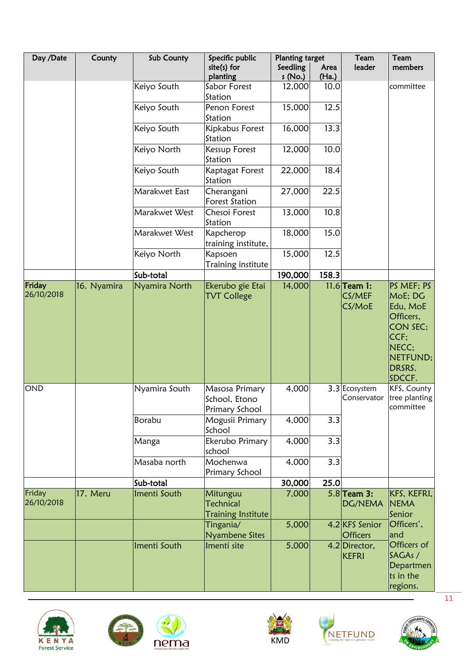| Day /Date            | County      | Sub County    | Specific public                                    | <b>Planting target</b><br>Seedling | Area  | Team<br>leader                     | Team<br>members                                                                                             |
|----------------------|-------------|---------------|----------------------------------------------------|------------------------------------|-------|------------------------------------|-------------------------------------------------------------------------------------------------------------|
|                      |             |               | $site(s)$ for<br>planting                          | s (No.)                            | (Ha.) |                                    |                                                                                                             |
|                      |             | Keiyo South   | Sabor Forest<br>Station                            | 12,000                             | 10.0  |                                    | committee                                                                                                   |
|                      |             | Keiyo South   | Penon Forest<br>Station                            | 15,000                             | 12.5  |                                    |                                                                                                             |
|                      |             | Keiyo South   | Kipkabus Forest<br>Station                         | 16,000                             | 13.3  |                                    |                                                                                                             |
|                      |             | Keiyo North   | <b>Kessup Forest</b><br>Station                    | 12,000                             | 10.0  |                                    |                                                                                                             |
|                      |             | Keiyo South   | Kaptagat Forest<br>Station                         | 22,000                             | 18.4  |                                    |                                                                                                             |
|                      |             | Marakwet East | Cherangani<br><b>Forest Station</b>                | 27,000                             | 22.5  |                                    |                                                                                                             |
|                      |             | Marakwet West | Chesoi Forest<br>Station                           | 13,000                             | 10.8  |                                    |                                                                                                             |
|                      |             | Marakwet West | Kapcherop<br>training institute,                   | 18,000                             | 15.0  |                                    |                                                                                                             |
|                      |             | Keiyo North   | Kapsoen<br>Training institute                      | 15,000                             | 12.5  |                                    |                                                                                                             |
|                      |             | Sub-total     |                                                    | 190,000                            | 158.3 |                                    |                                                                                                             |
| Friday<br>26/10/2018 | 16. Nyamira | Nyamira North | Ekerubo gie Etai<br><b>TVT College</b>             | 14,000                             |       | $11.6$ Team 1:<br>CS/MEF<br>CS/MoE | PS MEF; PS<br>MoE; DG<br>Edu, MoE<br>Officers,<br>CON SEC:<br>CCF:<br>NECC:<br>NETFUND;<br>DRSRS.<br>SDCCF. |
| <b>OND</b>           |             | Nyamira South | Masosa Primary<br>School, Etono<br>Primary School  | 4,000                              |       | 3.3 Ecosystem                      | KFS, County<br>Conservator tree planting<br>committee                                                       |
|                      |             | <b>Borabu</b> | Mogusii Primary<br>School                          | 4,000                              | 3.3   |                                    |                                                                                                             |
|                      |             | Manga         | Ekerubo Primary<br>school                          | 4,000                              | 3.3   |                                    |                                                                                                             |
|                      |             | Masaba north  | Mochenwa<br>Primary School                         | 4,000                              | 3.3   |                                    |                                                                                                             |
|                      |             | Sub-total     |                                                    | 30,000                             | 25.0  |                                    |                                                                                                             |
| Friday<br>26/10/2018 | 17. Meru    | Imenti South  | Mitunguu<br>Technical<br><b>Training Institute</b> | 7,000                              |       | $5.8$ Team 3:<br>DG/NEMA           | KFS, KEFRI,<br><b>NEMA</b><br>Senior                                                                        |
|                      |             |               | Tingania/<br>Nyambene Sites                        | 5,000                              |       | 4.2 KFS Senior<br><b>Officers</b>  | Officers',<br>and                                                                                           |
|                      |             | Imenti South  | Imenti site                                        | 5,000                              |       | 4.2 Director,<br><b>KEFRI</b>      | Officers of<br>SAGAs /<br>Departmen<br>ts in the<br>regions.                                                |









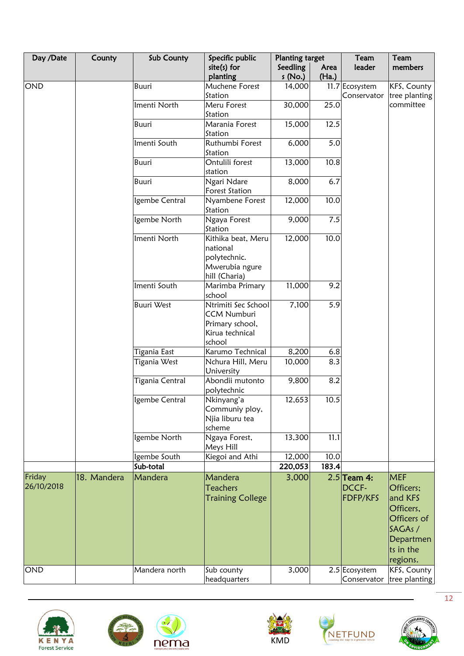| Day /Date  | County      | Sub County        | Specific public                      | <b>Planting target</b> |               | Team           | Team          |
|------------|-------------|-------------------|--------------------------------------|------------------------|---------------|----------------|---------------|
|            |             |                   | $site(s)$ for<br>planting            | Seedling<br>s(No.)     | Area<br>(Ha.) | leader         | members       |
| OND        |             | <b>Buuri</b>      | Muchene Forest                       | 14,000                 |               | 11.7 Ecosystem | KFS, County   |
|            |             |                   | Station                              |                        |               | Conservator    | tree planting |
|            |             | Imenti North      | Meru Forest                          | 30,000                 | 25.0          |                | committee     |
|            |             |                   | Station                              |                        |               |                |               |
|            |             | Buuri             | Marania Forest                       | 15,000                 | 12.5          |                |               |
|            |             |                   | Station                              |                        |               |                |               |
|            |             | Imenti South      | Ruthumbi Forest<br>Station           | 6,000                  | 5.0           |                |               |
|            |             | <b>Buuri</b>      | Ontulili forest<br>station           | 13,000                 | 10.8          |                |               |
|            |             | <b>Buuri</b>      | Ngari Ndare<br><b>Forest Station</b> | 8,000                  | 6.7           |                |               |
|            |             | Igembe Central    | Nyambene Forest                      | 12,000                 | 10.0          |                |               |
|            |             |                   | Station                              |                        |               |                |               |
|            |             | Igembe North      | Ngaya Forest                         | 9,000                  | 7.5           |                |               |
|            |             |                   | Station                              |                        |               |                |               |
|            |             | Imenti North      | Kithika beat, Meru<br>national       | 12,000                 | 10.0          |                |               |
|            |             |                   | polytechnic.                         |                        |               |                |               |
|            |             |                   | Mwerubia ngure                       |                        |               |                |               |
|            |             |                   | hill (Charia)                        |                        |               |                |               |
|            |             | Imenti South      | Marimba Primary<br>school            | 11,000                 | 9.2           |                |               |
|            |             | <b>Buuri West</b> | Ntrimiti Sec School                  | 7,100                  | 5.9           |                |               |
|            |             |                   | <b>CCM Numburi</b>                   |                        |               |                |               |
|            |             |                   | Primary school,                      |                        |               |                |               |
|            |             |                   | Kirua technical                      |                        |               |                |               |
|            |             |                   | school                               |                        |               |                |               |
|            |             | Tigania East      | Karumo Technical                     | 8,200                  | 6.8           |                |               |
|            |             | Tigania West      | Nchura Hill, Meru<br>University      | 10,000                 | 8.3           |                |               |
|            |             | Tigania Central   | Abondii mutonto                      | 9,800                  | 8.2           |                |               |
|            |             |                   | polytechnic                          |                        |               |                |               |
|            |             | Igembe Central    | Nkinyang'a                           | 12,653                 | 10.5          |                |               |
|            |             |                   | Communiy ploy,                       |                        |               |                |               |
|            |             |                   | Njia liburu tea                      |                        |               |                |               |
|            |             |                   | scheme                               |                        |               |                |               |
|            |             | Igembe North      | Ngaya Forest,<br>Meys Hill           | 13,300                 | 11.1          |                |               |
|            |             | Igembe South      | Kiegoi and Athi                      | 12,000                 | 10.0          |                |               |
|            |             | Sub-total         |                                      | 220,053                | 183.4         |                |               |
| Friday     | 18. Mandera | Mandera           | Mandera                              | 3,000                  |               | $2.5$ Team 4:  | <b>MEF</b>    |
| 26/10/2018 |             |                   | <b>Teachers</b>                      |                        |               | DCCF-          | Officers;     |
|            |             |                   | <b>Training College</b>              |                        |               | FDFP/KFS       | and KFS       |
|            |             |                   |                                      |                        |               |                | Officers,     |
|            |             |                   |                                      |                        |               |                | Officers of   |
|            |             |                   |                                      |                        |               |                | SAGAs /       |
|            |             |                   |                                      |                        |               |                | Departmen     |
|            |             |                   |                                      |                        |               |                | ts in the     |
|            |             |                   |                                      |                        |               |                | regions.      |
| OND        |             | Mandera north     | Sub county                           | 3,000                  |               | 2.5 Ecosystem  | KFS, County   |
|            |             |                   | headquarters                         |                        |               | Conservator    | tree planting |









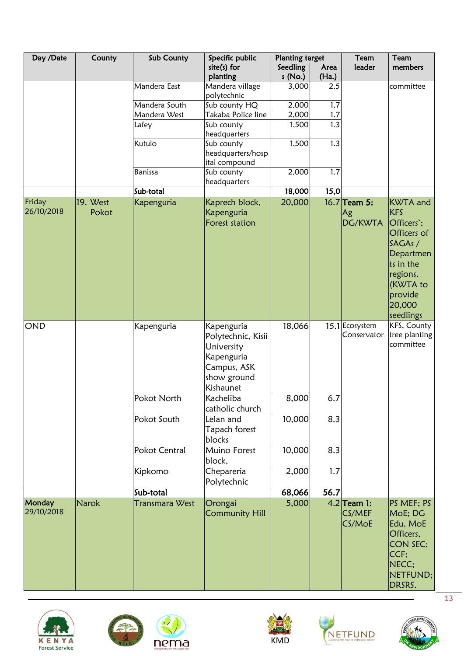| Day /Date            | County       | Sub County     | Specific public                                                                                         | <b>Planting target</b> |               | Team                              | Team                                                                                                                                   |
|----------------------|--------------|----------------|---------------------------------------------------------------------------------------------------------|------------------------|---------------|-----------------------------------|----------------------------------------------------------------------------------------------------------------------------------------|
|                      |              |                | $site(s)$ for<br>planting                                                                               | Seedling<br>s (No.)    | Area<br>(Ha.) | leader                            | members                                                                                                                                |
|                      |              | Mandera East   | Mandera village<br>polytechnic                                                                          | 3,000                  | 2.5           |                                   | committee                                                                                                                              |
|                      |              | Mandera South  | Sub county HQ                                                                                           | 2,000                  | 1.7           |                                   |                                                                                                                                        |
|                      |              | Mandera West   | Takaba Police line                                                                                      | 2,000                  | 1.7           |                                   |                                                                                                                                        |
|                      |              | Lafey          | Sub county<br>headquarters                                                                              | 1,500                  | 1.3           |                                   |                                                                                                                                        |
|                      |              | Kutulo         | Sub county<br>headquarters/hosp<br>ital compound                                                        | 1,500                  | 1.3           |                                   |                                                                                                                                        |
|                      |              | <b>Banissa</b> | Sub county<br>headquarters                                                                              | 2,000                  | 1.7           |                                   |                                                                                                                                        |
|                      |              | Sub-total      |                                                                                                         | 18,000                 | 15,0          |                                   |                                                                                                                                        |
| Friday               | 19. West     | Kapenguria     | Kaprech block,                                                                                          | 20,000                 |               | $16.7$ Team 5:                    | <b>KWTA</b> and                                                                                                                        |
| 26/10/2018           | Pokot        |                | Kapenguria<br>Forest station                                                                            |                        |               | Ag<br>DG/KWTA                     | <b>KFS</b><br>Officers';<br>Officers of<br>SAGAs /<br>Departmen<br>ts in the<br>regions.<br>(KWTA to<br>provide<br>20,000<br>seedlings |
| <b>OND</b>           |              | Kapenguria     | Kapenguria<br>Polytechnic, Kisii<br>University<br>Kapenguria<br>Campus, ASK<br>show ground<br>Kishaunet | 18,066                 |               | 15.1 Ecosystem<br>Conservator     | KFS, County<br>tree planting<br>committee                                                                                              |
|                      |              | Pokot North    | Kacheliba<br>catholic church                                                                            | 8,000                  | 6.7           |                                   |                                                                                                                                        |
|                      |              | Pokot South    | Lelan and<br>Tapach forest<br>blocks                                                                    | 10,000                 | 8.3           |                                   |                                                                                                                                        |
|                      |              | Pokot Central  | Muino Forest<br>block,                                                                                  | 10,000                 | 8.3           |                                   |                                                                                                                                        |
|                      |              | Kipkomo        | Chepareria<br>Polytechnic                                                                               | 2,000                  | 1.7           |                                   |                                                                                                                                        |
|                      |              | Sub-total      |                                                                                                         | 68,066                 | 56.7          |                                   |                                                                                                                                        |
| Monday<br>29/10/2018 | <b>Narok</b> | Transmara West | Orongai<br><b>Community Hill</b>                                                                        | 5,000                  |               | $4.2$ Team 1:<br>CS/MEF<br>CS/MoE | PS MEF; PS<br>MoE; DG<br>Edu, MoE<br>Officers,<br>CON SEC:<br>CCF<br>NECC;<br>NETFUND;<br>DRSRS.                                       |









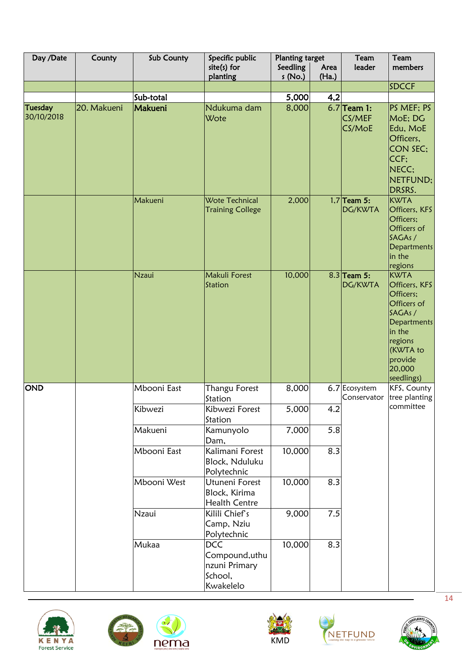| Day /Date                    | County      | Sub County   | Specific public                                                       | <b>Planting target</b> |               | Team                              | Team                                                                                                                                            |
|------------------------------|-------------|--------------|-----------------------------------------------------------------------|------------------------|---------------|-----------------------------------|-------------------------------------------------------------------------------------------------------------------------------------------------|
|                              |             |              | $site(s)$ for<br>planting                                             | Seedling<br>s(No.)     | Area<br>(Ha.) | leader                            | members                                                                                                                                         |
|                              |             |              |                                                                       |                        |               |                                   | <b>SDCCF</b>                                                                                                                                    |
|                              |             | Sub-total    |                                                                       | 5,000                  | 4,2           |                                   |                                                                                                                                                 |
| <b>Tuesday</b><br>30/10/2018 | 20. Makueni | Makueni      | Ndukuma dam<br>Wote                                                   | 8,000                  |               | $6.7$ Team 1:<br>CS/MEF<br>CS/MoE | PS MEF; PS<br>MoE; DG<br>Edu, MoE<br>Officers,<br><b>CON SEC:</b><br>CCF;<br>NECC:<br>NETFUND;<br>DRSRS.                                        |
|                              |             | Makueni      | Wote Technical<br><b>Training College</b>                             | 2,000                  |               | $1,7$ Team 5:<br>DG/KWTA          | <b>KWTA</b><br>Officers, KFS<br>Officers;<br>Officers of<br>SAGAs /<br>Departments<br>in the<br>regions                                         |
|                              |             | <b>Nzaui</b> | Makuli Forest<br>Station                                              | 10,000                 |               | $8.3$ Team 5:<br>DG/KWTA          | KWTA<br>Officers, KFS<br>Officers;<br>Officers of<br>SAGAs /<br>Departments<br>in the<br>regions<br>(KWTA to<br>provide<br>20,000<br>seedlings) |
| <b>OND</b>                   |             | Mbooni East  | Thangu Forest<br>Station                                              | 8,000                  |               | 6.7 Ecosystem<br>Conservator      | KFS, County<br>tree planting                                                                                                                    |
|                              |             | Kibwezi      | Kibwezi Forest<br>Station                                             | 5,000                  | 4.2           |                                   | committee                                                                                                                                       |
|                              |             | Makueni      | Kamunyolo<br>Dam,                                                     | 7,000                  | 5.8           |                                   |                                                                                                                                                 |
|                              |             | Mbooni East  | Kalimani Forest<br>Block, Nduluku<br>Polytechnic                      | 10,000                 | 8.3           |                                   |                                                                                                                                                 |
|                              |             | Mbooni West  | Utuneni Forest<br>Block, Kirima<br><b>Health Centre</b>               | 10,000                 | 8.3           |                                   |                                                                                                                                                 |
|                              |             | <b>Nzaui</b> | Kilili Chief's<br>Camp, Nziu<br>Polytechnic                           | 9,000                  | 7.5           |                                   |                                                                                                                                                 |
|                              |             | Mukaa        | <b>DCC</b><br>Compound, uthu<br>nzuni Primary<br>School,<br>Kwakelelo | 10,000                 | 8.3           |                                   |                                                                                                                                                 |









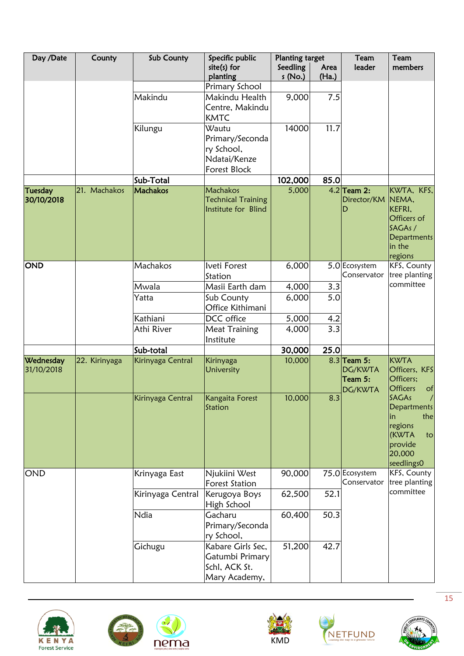| Day /Date                    | County        | Sub County        | Specific public                                                               | <b>Planting target</b> |               | Team                                           | Team                                                                                                                |
|------------------------------|---------------|-------------------|-------------------------------------------------------------------------------|------------------------|---------------|------------------------------------------------|---------------------------------------------------------------------------------------------------------------------|
|                              |               |                   | $site(s)$ for<br>planting                                                     | Seedling<br>s (No.)    | Area<br>(Ha.) | leader                                         | members                                                                                                             |
|                              |               |                   | Primary School                                                                |                        |               |                                                |                                                                                                                     |
|                              |               | Makindu           | Makindu Health<br>Centre, Makindu<br><b>KMTC</b>                              | 9,000                  | 7.5           |                                                |                                                                                                                     |
|                              |               | Kilungu           | Wautu<br>Primary/Seconda<br>ry School,<br>Ndatai/Kenze<br><b>Forest Block</b> | 14000                  | 11.7          |                                                |                                                                                                                     |
|                              |               | Sub-Total         |                                                                               | 102,000                | 85.0          |                                                |                                                                                                                     |
| <b>Tuesday</b><br>30/10/2018 | 21. Machakos  | Machakos          | Machakos<br><b>Technical Training</b><br>Institute for Blind                  | 5,000                  |               | $4.2$ Team 2:<br>Director/KM<br>D              | KWTA, KFS,<br>NEMA,<br>KEFRI,<br>Officers of<br>SAGAs/<br>Departments<br>in the<br>regions                          |
| <b>OND</b>                   |               | Machakos          | Iveti Forest<br>Station                                                       | 6,000                  |               | 5.0 Ecosystem<br>Conservator                   | KFS, County<br>tree planting                                                                                        |
|                              |               | Mwala             | Masii Earth dam                                                               | 4,000                  | 3.3           |                                                | committee                                                                                                           |
|                              |               | Yatta             | Sub County<br>Office Kithimani                                                | 6,000                  | 5.0           |                                                |                                                                                                                     |
|                              |               | Kathiani          | DCC office                                                                    | 5,000                  | 4.2           |                                                |                                                                                                                     |
|                              |               | Athi River        | <b>Meat Training</b><br>Institute                                             | 4,000                  | 3.3           |                                                |                                                                                                                     |
|                              |               | Sub-total         |                                                                               | 30,000                 | 25.0          |                                                |                                                                                                                     |
| Wednesday<br>31/10/2018      | 22. Kirinyaga | Kirinyaga Central | Kirinyaga<br>University                                                       | 10,000                 |               | $8.3$ Team 5:<br>DG/KWTA<br>Team 5:<br>DG/KWTA | <b>KWTA</b><br>Officers, KFS<br>Officers;<br><b>Officers</b><br>of                                                  |
|                              |               | Kirinyaga Central | Kangaita Forest<br>Station                                                    | 10,000                 | 8.3           |                                                | SAGAs<br>$\sqrt{ }$<br><b>Departments</b><br>the<br>in<br>regions<br>(KWTA<br>to<br>provide<br>20,000<br>seedlings0 |
| <b>OND</b>                   |               | Krinyaga East     | Njukiini West<br><b>Forest Station</b>                                        | 90,000                 |               | 75.0 Ecosystem<br>Conservator                  | KFS, County<br>tree planting                                                                                        |
|                              |               | Kirinyaga Central | Kerugoya Boys<br>High School                                                  | 62,500                 | 52.1          |                                                | committee                                                                                                           |
|                              |               | Ndia              | Gacharu<br>Primary/Seconda<br>ry School,                                      | 60,400                 | 50.3          |                                                |                                                                                                                     |
|                              |               | Gichugu           | Kabare Girls Sec,<br>Gatumbi Primary<br>Schl, ACK St.<br>Mary Academy,        | 51,200                 | 42.7          |                                                |                                                                                                                     |









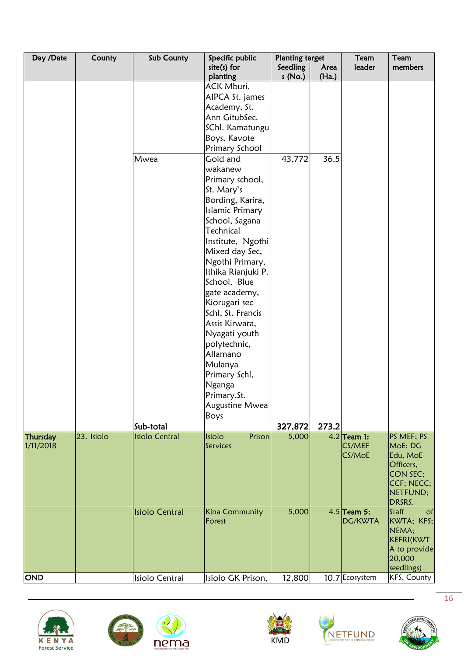| Day /Date  | County     | Sub County            | Specific public           | <b>Planting target</b> |               | Team           | Team                   |
|------------|------------|-----------------------|---------------------------|------------------------|---------------|----------------|------------------------|
|            |            |                       | $site(s)$ for<br>planting | Seedling<br>s(No.)     | Area<br>(Ha.) | leader         | members                |
|            |            |                       | ACK Mburi,                |                        |               |                |                        |
|            |            |                       | AIPCA St. james           |                        |               |                |                        |
|            |            |                       | Academy, St.              |                        |               |                |                        |
|            |            |                       | Ann GitubSec.             |                        |               |                |                        |
|            |            |                       | SChl. Kamatungu           |                        |               |                |                        |
|            |            |                       | Boys, Kavote              |                        |               |                |                        |
|            |            |                       | Primary School            |                        |               |                |                        |
|            |            | Mwea                  | Gold and                  | 43,772                 | 36.5          |                |                        |
|            |            |                       | wakanew                   |                        |               |                |                        |
|            |            |                       | Primary school,           |                        |               |                |                        |
|            |            |                       | St. Mary's                |                        |               |                |                        |
|            |            |                       | Bording, Karira,          |                        |               |                |                        |
|            |            |                       | <b>Islamic Primary</b>    |                        |               |                |                        |
|            |            |                       | School, Sagana            |                        |               |                |                        |
|            |            |                       | Technical                 |                        |               |                |                        |
|            |            |                       | Institute, Ngothi         |                        |               |                |                        |
|            |            |                       | Mixed day Sec,            |                        |               |                |                        |
|            |            |                       | Ngothi Primary,           |                        |               |                |                        |
|            |            |                       | Ithika Rianjuki P.        |                        |               |                |                        |
|            |            |                       | School, Blue              |                        |               |                |                        |
|            |            |                       | gate academy,             |                        |               |                |                        |
|            |            |                       | Kiorugari sec             |                        |               |                |                        |
|            |            |                       | Schl, St. Francis         |                        |               |                |                        |
|            |            |                       | Assis Kirwara,            |                        |               |                |                        |
|            |            |                       | Nyagati youth             |                        |               |                |                        |
|            |            |                       | polytechnic,              |                        |               |                |                        |
|            |            |                       | Allamano                  |                        |               |                |                        |
|            |            |                       | Mulanya                   |                        |               |                |                        |
|            |            |                       | Primary Schl,             |                        |               |                |                        |
|            |            |                       | Nganga                    |                        |               |                |                        |
|            |            |                       | Primary, St.              |                        |               |                |                        |
|            |            |                       | Augustine Mwea            |                        |               |                |                        |
|            |            | Sub-total             | Boys                      | 327,872                | 273.2         |                |                        |
| Thursday   | 23. Isiolo | <b>Isiolo Central</b> | Prison<br>Isiolo          | 5,000                  |               | $4.2$ Team 1:  | PS MEF: PS             |
| 1/11/2018  |            |                       | Services                  |                        |               | CS/MEF         | MoE; DG                |
|            |            |                       |                           |                        |               | CS/MoE         | Edu, MoE               |
|            |            |                       |                           |                        |               |                | Officers,              |
|            |            |                       |                           |                        |               |                | CON SEC;               |
|            |            |                       |                           |                        |               |                | CCF; NECC;<br>NETFUND; |
|            |            |                       |                           |                        |               |                | DRSRS.                 |
|            |            | <b>Isiolo Central</b> | Kina Community            | 5,000                  |               | $4.5$ Team 5:  | Staff<br>of            |
|            |            |                       | Forest                    |                        |               | DG/KWTA        | KWTA; KFS;             |
|            |            |                       |                           |                        |               |                | NEMA;                  |
|            |            |                       |                           |                        |               |                | KEFRI(KWT              |
|            |            |                       |                           |                        |               |                | A to provide           |
|            |            |                       |                           |                        |               |                | 20,000                 |
|            |            |                       |                           |                        |               |                | seedlings)             |
| <b>OND</b> |            | Isiolo Central        | Isiolo GK Prison,         | 12,800                 |               | 10.7 Ecosystem | KFS, County            |









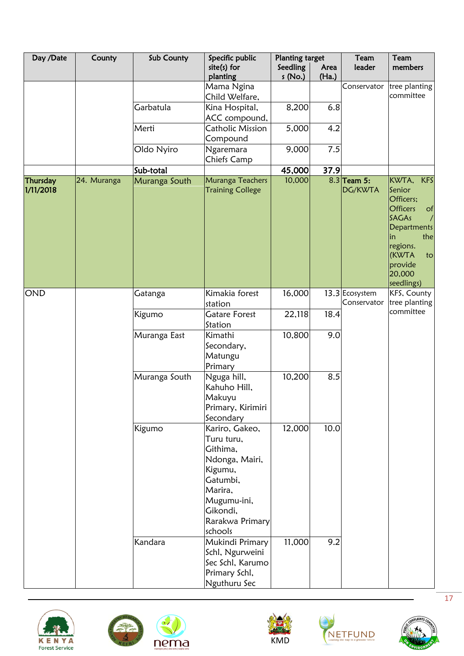| Day /Date             | County      | Sub County    | Specific public                                                                                                                                       | <b>Planting target</b> |               | Team                          | Team                                                                                                                                                                                 |
|-----------------------|-------------|---------------|-------------------------------------------------------------------------------------------------------------------------------------------------------|------------------------|---------------|-------------------------------|--------------------------------------------------------------------------------------------------------------------------------------------------------------------------------------|
|                       |             |               | $site(s)$ for<br>planting                                                                                                                             | Seedling<br>s (No.)    | Area<br>(Ha.) | leader                        | members                                                                                                                                                                              |
|                       |             |               | Mama Ngina<br>Child Welfare,                                                                                                                          |                        |               | Conservator                   | tree planting<br>committee                                                                                                                                                           |
|                       |             | Garbatula     | Kina Hospital,                                                                                                                                        | 8,200                  | 6.8           |                               |                                                                                                                                                                                      |
|                       |             | Merti         | ACC compound,<br>Catholic Mission                                                                                                                     | 5,000                  | 4.2           |                               |                                                                                                                                                                                      |
|                       |             |               | Compound                                                                                                                                              |                        |               |                               |                                                                                                                                                                                      |
|                       |             | Oldo Nyiro    | Ngaremara<br>Chiefs Camp                                                                                                                              | 9,000                  | 7.5           |                               |                                                                                                                                                                                      |
|                       |             | Sub-total     |                                                                                                                                                       | 45,000                 | 37.9          |                               |                                                                                                                                                                                      |
| Thursday<br>1/11/2018 | 24. Muranga | Muranga South | Muranga Teachers<br><b>Training College</b>                                                                                                           | 10,000                 |               | $8.3$ Team 5:<br>DG/KWTA      | KWTA,<br><b>KFS</b><br>Senior<br>Officers;<br><b>Officers</b><br>of<br><b>SAGAs</b><br><b>Departments</b><br>the<br>in<br>regions.<br>(KWTA<br>to<br>provide<br>20,000<br>seedlings) |
| <b>OND</b>            |             | Gatanga       | Kimakia forest<br>station                                                                                                                             | 16,000                 |               | 13.3 Ecosystem<br>Conservator | KFS, County<br>tree planting                                                                                                                                                         |
|                       |             | Kigumo        | <b>Gatare Forest</b><br>Station                                                                                                                       | 22,118                 | 18.4          |                               | committee                                                                                                                                                                            |
|                       |             | Muranga East  | Kimathi<br>Secondary,<br>Matungu<br>Primary                                                                                                           | 10,800                 | 9.0           |                               |                                                                                                                                                                                      |
|                       |             | Muranga South | Nguga hill,<br>Kahuho Hill,<br>Makuyu<br>Primary, Kirimiri<br>Secondary                                                                               | 10,200                 | 8.5           |                               |                                                                                                                                                                                      |
|                       |             | Kigumo        | Kariro, Gakeo,<br>Turu turu,<br>Githima,<br>Ndonga, Mairi,<br>Kigumu,<br>Gatumbi,<br>Marira,<br>Mugumu-ini,<br>Gikondi,<br>Rarakwa Primary<br>schools | 12,000                 | 10.0          |                               |                                                                                                                                                                                      |
|                       |             | Kandara       | Mukindi Primary<br>Schl, Ngurweini<br>Sec Schl, Karumo<br>Primary Schl,<br>Nguthuru Sec                                                               | 11,000                 | 9.2           |                               |                                                                                                                                                                                      |









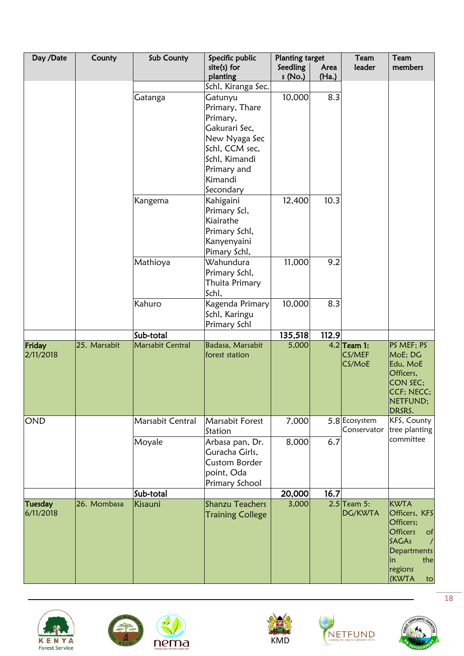| Day /Date | County       | Sub County       | Specific public            | Planting target    |               | Team                         | Team                         |
|-----------|--------------|------------------|----------------------------|--------------------|---------------|------------------------------|------------------------------|
|           |              |                  | $site(s)$ for<br>planting  | Seedling<br>s(No.) | Area<br>(Ha.) | leader                       | members                      |
|           |              |                  | Schl, Kiranga Sec.         |                    |               |                              |                              |
|           |              | Gatanga          | Gatunyu                    | 10,000             | 8.3           |                              |                              |
|           |              |                  | Primary, Thare             |                    |               |                              |                              |
|           |              |                  | Primary,                   |                    |               |                              |                              |
|           |              |                  | Gakurari Sec,              |                    |               |                              |                              |
|           |              |                  | New Nyaga Sec              |                    |               |                              |                              |
|           |              |                  | Schl, CCM sec,             |                    |               |                              |                              |
|           |              |                  | Schl, Kimandi              |                    |               |                              |                              |
|           |              |                  | Primary and                |                    |               |                              |                              |
|           |              |                  | Kimandi                    |                    |               |                              |                              |
|           |              |                  | Secondary                  |                    |               |                              |                              |
|           |              | Kangema          | Kahigaini                  | 12,400             | 10.3          |                              |                              |
|           |              |                  | Primary Scl,               |                    |               |                              |                              |
|           |              |                  | Kiairathe                  |                    |               |                              |                              |
|           |              |                  | Primary Schl,              |                    |               |                              |                              |
|           |              |                  | Kanyenyaini                |                    |               |                              |                              |
|           |              |                  | Pimary Schl,               |                    |               |                              |                              |
|           |              | Mathioya         | Wahundura                  | 11,000             | 9.2           |                              |                              |
|           |              |                  | Primary Schl,              |                    |               |                              |                              |
|           |              |                  | Thuita Primary             |                    |               |                              |                              |
|           |              |                  | Schl,                      |                    |               |                              |                              |
|           |              | Kahuro           |                            | 10,000             | 8.3           |                              |                              |
|           |              |                  | Kagenda Primary            |                    |               |                              |                              |
|           |              |                  | Schl, Karingu              |                    |               |                              |                              |
|           |              | Sub-total        | Primary Schl               | 135,518            | 112.9         |                              |                              |
| Friday    | 25. Marsabit | Marsabit Central | Badasa, Marsabit           | 5,000              |               | $4.2$ Team 1:                | PS MEF; PS                   |
| 2/11/2018 |              |                  | forest station             |                    |               | CS/MEF                       | MoE; DG                      |
|           |              |                  |                            |                    |               | CS/MoE                       | Edu, MoE                     |
|           |              |                  |                            |                    |               |                              | Officers,                    |
|           |              |                  |                            |                    |               |                              | CON SEC;                     |
|           |              |                  |                            |                    |               |                              | CCF; NECC;                   |
|           |              |                  |                            |                    |               |                              | NETFUND;                     |
|           |              |                  |                            |                    |               |                              | DRSRS.                       |
| OND       |              | Marsabit Central | Marsabit Forest<br>Station | 7,000              |               | 5.8 Ecosystem<br>Conservator | KFS, County<br>tree planting |
|           |              | Moyale           | Arbasa pan, Dr.            | 8,000              | 6.7           |                              | committee                    |
|           |              |                  | Guracha Girls,             |                    |               |                              |                              |
|           |              |                  | <b>Custom Border</b>       |                    |               |                              |                              |
|           |              |                  | point, Oda                 |                    |               |                              |                              |
|           |              |                  | Primary School             |                    |               |                              |                              |
|           |              | Sub-total        |                            | 20,000             | 16.7          |                              |                              |
| Tuesday   | 26. Mombasa  | Kisauni          | <b>Shanzu Teachers</b>     | 3,000              |               | $2.5$ Team 5:                | <b>KWTA</b>                  |
| 6/11/2018 |              |                  | <b>Training College</b>    |                    |               | DG/KWTA                      | Officers, KFS                |
|           |              |                  |                            |                    |               |                              | Officers;                    |
|           |              |                  |                            |                    |               |                              | <b>Officers</b><br>of        |
|           |              |                  |                            |                    |               |                              | <b>SAGAs</b><br>$\sqrt{2}$   |
|           |              |                  |                            |                    |               |                              | <b>Departments</b>           |
|           |              |                  |                            |                    |               |                              | the<br>in<br>regions         |
|           |              |                  |                            |                    |               |                              | (KWTA<br>to                  |









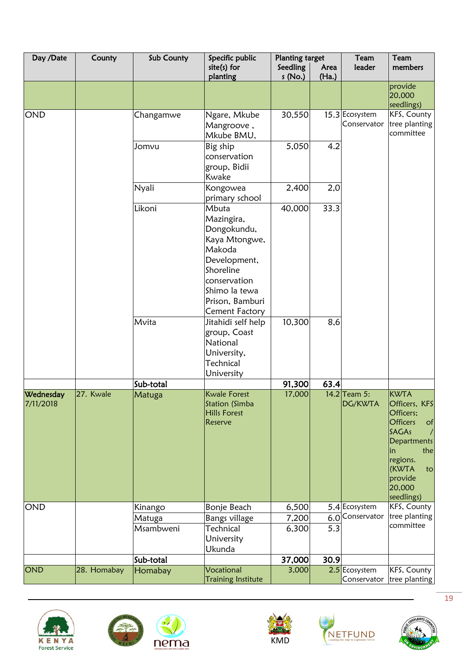| Day /Date              | County      | Sub County          | Specific public                                                                                                                                                         | <b>Planting target</b> |               | Team                          | Team                                                                                                                                                                                            |
|------------------------|-------------|---------------------|-------------------------------------------------------------------------------------------------------------------------------------------------------------------------|------------------------|---------------|-------------------------------|-------------------------------------------------------------------------------------------------------------------------------------------------------------------------------------------------|
|                        |             |                     | site(s) for<br>planting                                                                                                                                                 | Seedling<br>s (No.)    | Area<br>(Ha.) | leader                        | members                                                                                                                                                                                         |
|                        |             |                     |                                                                                                                                                                         |                        |               |                               | provide<br>20,000<br>seedlings)                                                                                                                                                                 |
| <b>OND</b>             |             | Changamwe           | Ngare, Mkube<br>Mangroove,<br>Mkube BMU,                                                                                                                                | 30,550                 |               | 15.3 Ecosystem<br>Conservator | KFS, County<br>tree planting<br>committee                                                                                                                                                       |
|                        |             | Jomvu               | Big ship<br>conservation<br>group, Bidii<br>Kwake                                                                                                                       | 5,050                  | 4.2           |                               |                                                                                                                                                                                                 |
|                        |             | Nyali               | Kongowea<br>primary school                                                                                                                                              | 2,400                  | 2,0           |                               |                                                                                                                                                                                                 |
|                        |             | Likoni              | Mbuta<br>Mazingira,<br>Dongokundu,<br>Kaya Mtongwe,<br>Makoda<br>Development,<br>Shoreline<br>conservation<br>Shimo la tewa<br>Prison, Bamburi<br><b>Cement Factory</b> | 40,000                 | 33.3          |                               |                                                                                                                                                                                                 |
|                        |             | Mvita               | Jitahidi self help<br>group, Coast<br>National<br>University,<br>Technical<br>University                                                                                | 10,300                 | 8,6           |                               |                                                                                                                                                                                                 |
|                        |             | Sub-total           |                                                                                                                                                                         | 91,300                 | 63.4          |                               |                                                                                                                                                                                                 |
| Wednesday<br>7/11/2018 | 27. Kwale   | Matuga              | <b>Kwale Forest</b><br>Station (Simba<br><b>Hills Forest</b><br>Reserve                                                                                                 | 17,000                 |               | 14.2 Team 5:<br>DG/KWTA       | <b>KWTA</b><br>Officers, KFS<br>Officers;<br><b>Officers</b><br>of<br>SAGAs<br>$\prime$<br><b>Departments</b><br>the<br>lin<br>regions.<br><b>KWTA</b><br>to<br>provide<br>20,000<br>seedlings) |
| <b>OND</b>             |             | Kinango             | Bonje Beach                                                                                                                                                             | 6,500                  |               | 5.4 Ecosystem                 | KFS, County                                                                                                                                                                                     |
|                        |             | Matuga<br>Msambweni | Bangs village<br>Technical<br>University<br>Ukunda                                                                                                                      | 7,200<br>6,300         | 6.0<br>5.3    | Conservator                   | tree planting<br>committee                                                                                                                                                                      |
|                        |             | Sub-total           |                                                                                                                                                                         | 37,000                 | 30.9          |                               |                                                                                                                                                                                                 |
| OND                    | 28. Homabay | Homabay             | Vocational<br><b>Training Institute</b>                                                                                                                                 | 3,000                  |               | 2.5 Ecosystem<br>Conservator  | KFS, County<br>tree planting                                                                                                                                                                    |









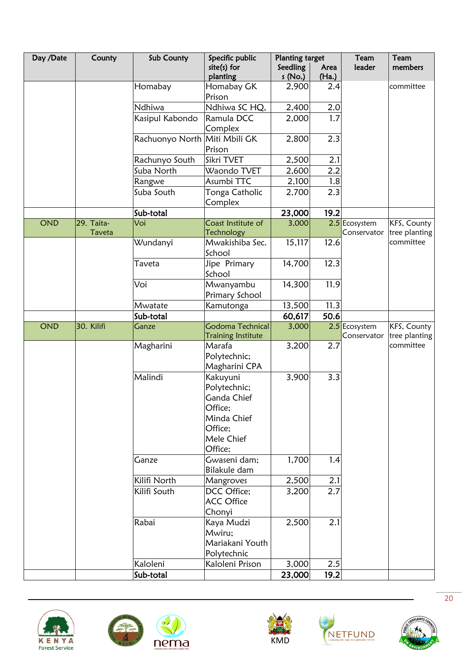| Day /Date  | County     | Sub County                    | Specific public             | <b>Planting target</b> |       | Team          | Team                       |
|------------|------------|-------------------------------|-----------------------------|------------------------|-------|---------------|----------------------------|
|            |            |                               | $site(s)$ for               | Seedling               | Area  | leader        | members                    |
|            |            |                               | planting                    | s(No.)                 | (Ha.) |               |                            |
|            |            | Homabay                       | Homabay GK                  | 2,900                  | 2.4   |               | committee                  |
|            |            |                               | Prison                      |                        |       |               |                            |
|            |            | Ndhiwa                        | Ndhiwa SC HQ,               | 2,400                  | 2.0   |               |                            |
|            |            | Kasipul Kabondo               | Ramula DCC                  | 2,000                  | 1.7   |               |                            |
|            |            |                               | Complex                     |                        |       |               |                            |
|            |            | Rachuonyo North Miti Mbili GK |                             | 2,800                  | 2.3   |               |                            |
|            |            |                               | Prison                      |                        |       |               |                            |
|            |            | Rachunyo South                | Sikri TVET                  | 2,500                  | 2.1   |               |                            |
|            |            | Suba North                    | Waondo TVET                 | 2,600                  | 2.2   |               |                            |
|            |            | Rangwe                        | Asumbi TTC                  | 2,100                  | 1.8   |               |                            |
|            |            | Suba South                    | Tonga Catholic              | 2,700                  | 2.3   |               |                            |
|            |            |                               | Complex                     |                        |       |               |                            |
|            |            | Sub-total                     |                             | 23,000                 | 19.2  |               |                            |
| <b>OND</b> | 29. Taita- | Voi                           | Coast Institute of          | 3,000                  |       | 2.5 Ecosystem | KFS, County                |
|            | Taveta     |                               | Technology                  |                        |       | Conservator   | tree planting<br>committee |
|            |            | Wundanyi                      | Mwakishiba Sec.<br>School   | 15,117                 | 12.6  |               |                            |
|            |            |                               |                             | 14,700                 |       |               |                            |
|            |            | Taveta                        | Jipe Primary<br>School      |                        | 12.3  |               |                            |
|            |            | Voi                           |                             | 14,300                 | 11.9  |               |                            |
|            |            |                               | Mwanyambu<br>Primary School |                        |       |               |                            |
|            |            | Mwatate                       | Kamutonga                   | 13,500                 | 11.3  |               |                            |
|            |            | Sub-total                     |                             | 60,617                 | 50.6  |               |                            |
| <b>OND</b> | 30. Kilifi | Ganze                         | Godoma Technical            | 3,000                  |       | 2.5 Ecosystem | KFS, County                |
|            |            |                               | <b>Training Institute</b>   |                        |       | Conservator   | tree planting              |
|            |            | Magharini                     | Marafa                      | 3,200                  | 2.7   |               | committee                  |
|            |            |                               | Polytechnic;                |                        |       |               |                            |
|            |            |                               | Magharini CPA               |                        |       |               |                            |
|            |            | Malindi                       | Kakuyuni                    | 3,900                  | 3.3   |               |                            |
|            |            |                               | Polytechnic;                |                        |       |               |                            |
|            |            |                               | Ganda Chief                 |                        |       |               |                            |
|            |            |                               | Office;                     |                        |       |               |                            |
|            |            |                               | Minda Chief                 |                        |       |               |                            |
|            |            |                               | Office;                     |                        |       |               |                            |
|            |            |                               | Mele Chief                  |                        |       |               |                            |
|            |            |                               | Office;                     |                        |       |               |                            |
|            |            | Ganze                         | Gwaseni dam;                | 1,700                  | 1.4   |               |                            |
|            |            |                               | Bilakule dam                |                        |       |               |                            |
|            |            | Kilifi North                  | Mangroves                   | 2,500                  | 2.1   |               |                            |
|            |            | Kilifi South                  | DCC Office;                 | 3,200                  | 2.7   |               |                            |
|            |            |                               | <b>ACC Office</b>           |                        |       |               |                            |
|            |            |                               | Chonyi                      |                        |       |               |                            |
|            |            | Rabai                         | Kaya Mudzi                  | 2,500                  | 2.1   |               |                            |
|            |            |                               | Mwiru;                      |                        |       |               |                            |
|            |            |                               | Mariakani Youth             |                        |       |               |                            |
|            |            |                               | Polytechnic                 |                        |       |               |                            |
|            |            | Kaloleni                      | Kaloleni Prison             | 3,000                  | 2.5   |               |                            |
|            |            | Sub-total                     |                             | 23,000                 | 19.2  |               |                            |





 $\mathbf{d}$ 





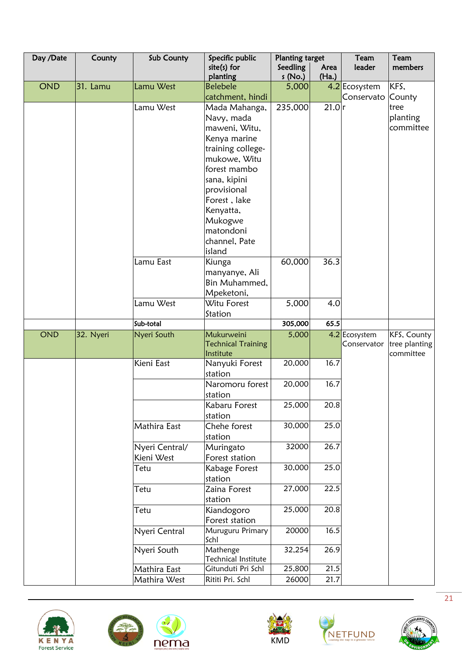| Day /Date  | County    | Sub County         | Specific public             | <b>Planting target</b> |       | Team          | Team          |
|------------|-----------|--------------------|-----------------------------|------------------------|-------|---------------|---------------|
|            |           |                    | $site(s)$ for               | Seedling               | Area  | leader        | members       |
|            |           |                    | planting                    | s(No.)                 | (Ha.) |               |               |
| <b>OND</b> | 31. Lamu  | Lamu West          | <b>Belebele</b>             | 5,000                  |       | 4.2 Ecosystem | KFS,          |
|            |           |                    | catchment, hindi            |                        |       | Conservato    | County        |
|            |           | Lamu West          | Mada Mahanga,               | 235,000                | 21.0r |               | tree          |
|            |           |                    | Navy, mada                  |                        |       |               | planting      |
|            |           |                    | maweni, Witu,               |                        |       |               | committee     |
|            |           |                    | Kenya marine                |                        |       |               |               |
|            |           |                    | training college-           |                        |       |               |               |
|            |           |                    | mukowe, Witu                |                        |       |               |               |
|            |           |                    | forest mambo                |                        |       |               |               |
|            |           |                    | sana, kipini                |                        |       |               |               |
|            |           |                    | provisional                 |                        |       |               |               |
|            |           |                    | Forest, lake                |                        |       |               |               |
|            |           |                    | Kenyatta,                   |                        |       |               |               |
|            |           |                    | Mukogwe<br>matondoni        |                        |       |               |               |
|            |           |                    | channel, Pate               |                        |       |               |               |
|            |           |                    | island                      |                        |       |               |               |
|            |           | Lamu East          | Kiunga                      | 60,000                 | 36.3  |               |               |
|            |           |                    | manyanye, Ali               |                        |       |               |               |
|            |           |                    | Bin Muhammed,               |                        |       |               |               |
|            |           |                    | Mpeketoni,                  |                        |       |               |               |
|            |           | Lamu West          | Witu Forest                 | 5,000                  | 4.0   |               |               |
|            |           |                    | Station                     |                        |       |               |               |
|            |           | Sub-total          |                             | 305,000                | 65.5  |               |               |
| <b>OND</b> | 32. Nyeri | Nyeri South        | Mukurweini                  | 5,000                  |       | 4.2 Ecosystem | KFS, County   |
|            |           |                    | <b>Technical Training</b>   |                        |       | Conservator   | tree planting |
|            |           |                    | Institute                   |                        |       |               | committee     |
|            |           | Kieni East         | Nanyuki Forest              | 20,000                 | 16.7  |               |               |
|            |           |                    | station                     |                        |       |               |               |
|            |           |                    | Naromoru forest             | 20,000                 | 16.7  |               |               |
|            |           |                    | station                     |                        |       |               |               |
|            |           |                    | Kabaru Forest               | 25,000                 | 20.8  |               |               |
|            |           |                    | station                     |                        |       |               |               |
|            |           | Mathira East       | Chehe forest                | 30,000                 | 25.0  |               |               |
|            |           |                    | station                     |                        |       |               |               |
|            |           | Nyeri Central/     | Muringato<br>Forest station | 32000                  | 26.7  |               |               |
|            |           | Kieni West<br>Tetu |                             | 30,000                 | 25.0  |               |               |
|            |           |                    | Kabage Forest<br>station    |                        |       |               |               |
|            |           | Tetu               | Zaina Forest                | 27,000                 | 22.5  |               |               |
|            |           |                    | station                     |                        |       |               |               |
|            |           | Tetu               | Kiandogoro                  | 25,000                 | 20.8  |               |               |
|            |           |                    | Forest station              |                        |       |               |               |
|            |           | Nyeri Central      | Muruguru Primary            | 20000                  | 16.5  |               |               |
|            |           |                    | Schl                        |                        |       |               |               |
|            |           | Nyeri South        | Mathenge                    | 32,254                 | 26.9  |               |               |
|            |           |                    | Technical Institute         |                        |       |               |               |
|            |           | Mathira East       | Gitunduti Pri Schl          | 25,800                 | 21.5  |               |               |
|            |           | Mathira West       | Rititi Pri. Schl            | 26000                  | 21.7  |               |               |









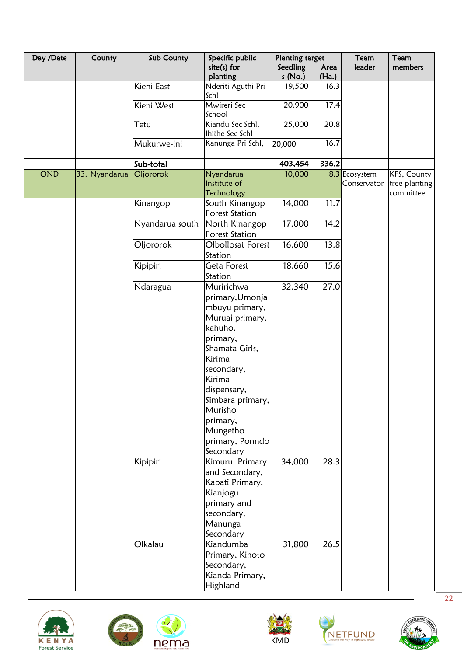| Day /Date | County        | Sub County      | Specific public       | <b>Planting target</b> |       | Team          | Team          |
|-----------|---------------|-----------------|-----------------------|------------------------|-------|---------------|---------------|
|           |               |                 | $site(s)$ for         | Seedling               | Area  | leader        | members       |
|           |               |                 | planting              | s (No.)                | (Ha.) |               |               |
|           |               | Kieni East      | Nderiti Aguthi Pri    | 19,500                 | 16.3  |               |               |
|           |               |                 | Schl                  |                        |       |               |               |
|           |               | Kieni West      | Mwireri Sec           | 20,900                 | 17.4  |               |               |
|           |               |                 | School                |                        |       |               |               |
|           |               | Tetu            | Kiandu Sec Schl,      | 25,000                 | 20.8  |               |               |
|           |               |                 | Ihithe Sec Schl       |                        |       |               |               |
|           |               | Mukurwe-ini     | Kanunga Pri Schl,     | 20,000                 | 16.7  |               |               |
|           |               | Sub-total       |                       | 403,454                | 336.2 |               |               |
| OND       | 33. Nyandarua | Oljororok       | Nyandarua             | 10,000                 |       | 8.3 Ecosystem | KFS, County   |
|           |               |                 | Institute of          |                        |       | Conservator   | tree planting |
|           |               |                 | <b>Technology</b>     |                        |       |               | committee     |
|           |               | Kinangop        | South Kinangop        | 14,000                 | 11.7  |               |               |
|           |               |                 | <b>Forest Station</b> |                        |       |               |               |
|           |               | Nyandarua south | North Kinangop        | 17,000                 | 14.2  |               |               |
|           |               |                 | <b>Forest Station</b> |                        |       |               |               |
|           |               | Oljororok       | Olbollosat Forest     | 16,600                 | 13.8  |               |               |
|           |               |                 | Station               |                        |       |               |               |
|           |               |                 | Geta Forest           | 18,660                 | 15.6  |               |               |
|           |               | Kipipiri        |                       |                        |       |               |               |
|           |               |                 | Station               |                        |       |               |               |
|           |               | Ndaragua        | Muririchwa            | 32,340                 | 27.0  |               |               |
|           |               |                 | primary, Umonja       |                        |       |               |               |
|           |               |                 | mbuyu primary,        |                        |       |               |               |
|           |               |                 | Muruai primary,       |                        |       |               |               |
|           |               |                 | kahuho,               |                        |       |               |               |
|           |               |                 | primary,              |                        |       |               |               |
|           |               |                 | Shamata Girls,        |                        |       |               |               |
|           |               |                 | Kirima                |                        |       |               |               |
|           |               |                 | secondary,            |                        |       |               |               |
|           |               |                 | Kirima                |                        |       |               |               |
|           |               |                 |                       |                        |       |               |               |
|           |               |                 | dispensary,           |                        |       |               |               |
|           |               |                 | Simbara primary,      |                        |       |               |               |
|           |               |                 | Murisho               |                        |       |               |               |
|           |               |                 | primary,              |                        |       |               |               |
|           |               |                 | Mungetho              |                        |       |               |               |
|           |               |                 | primary, Ponndo       |                        |       |               |               |
|           |               |                 | Secondary             |                        |       |               |               |
|           |               | Kipipiri        | Kimuru Primary        | 34,000                 | 28.3  |               |               |
|           |               |                 | and Secondary,        |                        |       |               |               |
|           |               |                 | Kabati Primary,       |                        |       |               |               |
|           |               |                 | Kianjogu              |                        |       |               |               |
|           |               |                 |                       |                        |       |               |               |
|           |               |                 | primary and           |                        |       |               |               |
|           |               |                 | secondary,            |                        |       |               |               |
|           |               |                 | Manunga               |                        |       |               |               |
|           |               |                 | Secondary             |                        |       |               |               |
|           |               | Olkalau         | Kiandumba             | 31,800                 | 26.5  |               |               |
|           |               |                 | Primary, Kihoto       |                        |       |               |               |
|           |               |                 | Secondary,            |                        |       |               |               |
|           |               |                 | Kianda Primary,       |                        |       |               |               |
|           |               |                 | Highland              |                        |       |               |               |









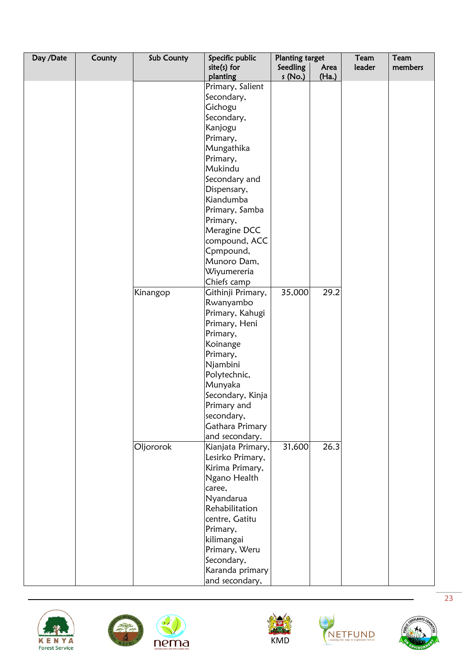| Day /Date | County | Sub County | Specific public              | <b>Planting target</b> |               | Team   | Team    |
|-----------|--------|------------|------------------------------|------------------------|---------------|--------|---------|
|           |        |            | $site(s)$ for                | Seedling               | Area<br>(Ha.) | leader | members |
|           |        |            | planting<br>Primary, Salient | s(No.)                 |               |        |         |
|           |        |            | Secondary,                   |                        |               |        |         |
|           |        |            |                              |                        |               |        |         |
|           |        |            | Gichogu                      |                        |               |        |         |
|           |        |            | Secondary,                   |                        |               |        |         |
|           |        |            | Kanjogu                      |                        |               |        |         |
|           |        |            | Primary,                     |                        |               |        |         |
|           |        |            | Mungathika                   |                        |               |        |         |
|           |        |            | Primary,                     |                        |               |        |         |
|           |        |            | Mukindu                      |                        |               |        |         |
|           |        |            | Secondary and                |                        |               |        |         |
|           |        |            | Dispensary,                  |                        |               |        |         |
|           |        |            | Kiandumba                    |                        |               |        |         |
|           |        |            | Primary, Samba               |                        |               |        |         |
|           |        |            | Primary,                     |                        |               |        |         |
|           |        |            | Meragine DCC                 |                        |               |        |         |
|           |        |            | compound, ACC                |                        |               |        |         |
|           |        |            | Cpmpound,                    |                        |               |        |         |
|           |        |            | Munoro Dam,                  |                        |               |        |         |
|           |        |            | Wiyumereria                  |                        |               |        |         |
|           |        |            | Chiefs camp                  |                        |               |        |         |
|           |        | Kinangop   | Githinji Primary,            | 35,000                 | 29.2          |        |         |
|           |        |            | Rwanyambo                    |                        |               |        |         |
|           |        |            | Primary, Kahugi              |                        |               |        |         |
|           |        |            | Primary, Heni                |                        |               |        |         |
|           |        |            | Primary,                     |                        |               |        |         |
|           |        |            | Koinange                     |                        |               |        |         |
|           |        |            | Primary,                     |                        |               |        |         |
|           |        |            | Njambini                     |                        |               |        |         |
|           |        |            | Polytechnic,                 |                        |               |        |         |
|           |        |            | Munyaka                      |                        |               |        |         |
|           |        |            | Secondary, Kinja             |                        |               |        |         |
|           |        |            | Primary and                  |                        |               |        |         |
|           |        |            | secondary,                   |                        |               |        |         |
|           |        |            | Gathara Primary              |                        |               |        |         |
|           |        |            | and secondary.               |                        |               |        |         |
|           |        | Oljororok  | Kianjata Primary,            | 31,600                 | 26.3          |        |         |
|           |        |            | Lesirko Primary,             |                        |               |        |         |
|           |        |            | Kirima Primary,              |                        |               |        |         |
|           |        |            | Ngano Health                 |                        |               |        |         |
|           |        |            | caree,                       |                        |               |        |         |
|           |        |            | Nyandarua                    |                        |               |        |         |
|           |        |            | Rehabilitation               |                        |               |        |         |
|           |        |            | centre, Gatitu               |                        |               |        |         |
|           |        |            | Primary,                     |                        |               |        |         |
|           |        |            | kilimangai                   |                        |               |        |         |
|           |        |            | Primary, Weru                |                        |               |        |         |
|           |        |            | Secondary,                   |                        |               |        |         |
|           |        |            | Karanda primary              |                        |               |        |         |
|           |        |            | and secondary,               |                        |               |        |         |









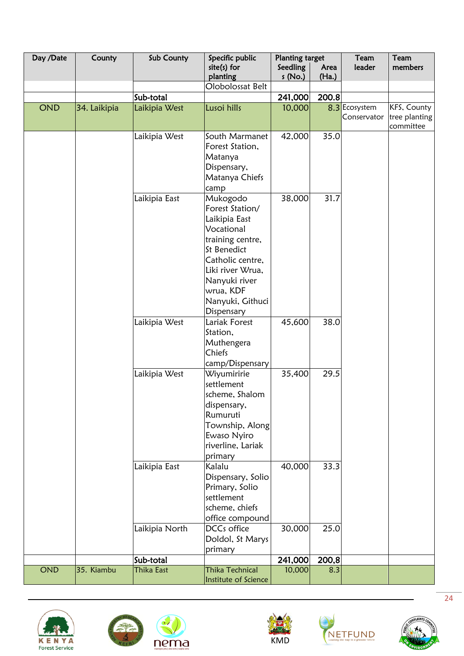| Day /Date  | County       | Sub County     | Specific public        | <b>Planting target</b> |       | Team          | Team          |
|------------|--------------|----------------|------------------------|------------------------|-------|---------------|---------------|
|            |              |                | $site(s)$ for          | Seedling               | Area  | leader        | members       |
|            |              |                | planting               | s(No.)                 | (Ha.) |               |               |
|            |              |                | Olobolossat Belt       |                        |       |               |               |
|            |              | Sub-total      |                        | 241,000                | 200.8 |               |               |
| <b>OND</b> | 34. Laikipia | Laikipia West  | Lusoi hills            | 10,000                 |       | 8.3 Ecosystem | KFS, County   |
|            |              |                |                        |                        |       | Conservator   | tree planting |
|            |              |                |                        |                        |       |               | committee     |
|            |              | Laikipia West  | South Marmanet         | 42,000                 | 35.0  |               |               |
|            |              |                | Forest Station,        |                        |       |               |               |
|            |              |                | Matanya                |                        |       |               |               |
|            |              |                | Dispensary,            |                        |       |               |               |
|            |              |                | Matanya Chiefs         |                        |       |               |               |
|            |              |                | camp                   |                        |       |               |               |
|            |              | Laikipia East  | Mukogodo               | 38,000                 | 31.7  |               |               |
|            |              |                | Forest Station/        |                        |       |               |               |
|            |              |                | Laikipia East          |                        |       |               |               |
|            |              |                | Vocational             |                        |       |               |               |
|            |              |                | training centre,       |                        |       |               |               |
|            |              |                | St Benedict            |                        |       |               |               |
|            |              |                | Catholic centre,       |                        |       |               |               |
|            |              |                |                        |                        |       |               |               |
|            |              |                | Liki river Wrua,       |                        |       |               |               |
|            |              |                | Nanyuki river          |                        |       |               |               |
|            |              |                | wrua, KDF              |                        |       |               |               |
|            |              |                | Nanyuki, Githuci       |                        |       |               |               |
|            |              |                | Dispensary             |                        |       |               |               |
|            |              | Laikipia West  | Lariak Forest          | 45,600                 | 38.0  |               |               |
|            |              |                | Station,               |                        |       |               |               |
|            |              |                | Muthengera             |                        |       |               |               |
|            |              |                | Chiefs                 |                        |       |               |               |
|            |              |                | camp/Dispensary        |                        |       |               |               |
|            |              | Laikipia West  | Wiyumiririe            | 35,400                 | 29.5  |               |               |
|            |              |                | settlement             |                        |       |               |               |
|            |              |                | scheme, Shalom         |                        |       |               |               |
|            |              |                | dispensary,            |                        |       |               |               |
|            |              |                | Rumuruti               |                        |       |               |               |
|            |              |                | Township, Along        |                        |       |               |               |
|            |              |                | Ewaso Nyiro            |                        |       |               |               |
|            |              |                | riverline, Lariak      |                        |       |               |               |
|            |              |                | primary                |                        |       |               |               |
|            |              | Laikipia East  | Kalalu                 | 40,000                 | 33.3  |               |               |
|            |              |                | Dispensary, Solio      |                        |       |               |               |
|            |              |                | Primary, Solio         |                        |       |               |               |
|            |              |                | settlement             |                        |       |               |               |
|            |              |                | scheme, chiefs         |                        |       |               |               |
|            |              |                | office compound        |                        |       |               |               |
|            |              | Laikipia North | DCCs office            | 30,000                 | 25.0  |               |               |
|            |              |                | Doldol, St Marys       |                        |       |               |               |
|            |              |                | primary                |                        |       |               |               |
|            |              | Sub-total      |                        | 241,000                | 200,8 |               |               |
| <b>OND</b> | 35. Kiambu   | Thika East     | <b>Thika Technical</b> | 10,000                 | 8.3   |               |               |
|            |              |                | Institute of Science   |                        |       |               |               |









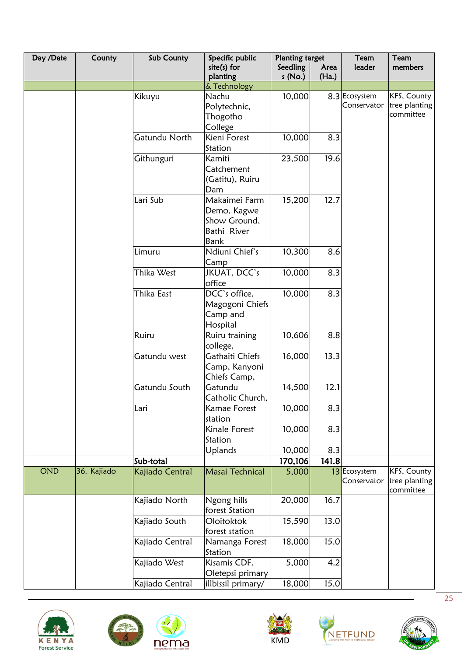| Day /Date | County      | Sub County      | Specific public                                                            | <b>Planting target</b> |               | Team                         | Team                                      |
|-----------|-------------|-----------------|----------------------------------------------------------------------------|------------------------|---------------|------------------------------|-------------------------------------------|
|           |             |                 | $site(s)$ for<br>planting                                                  | Seedling<br>s(No.)     | Area<br>(Ha.) | leader                       | members                                   |
|           |             |                 | & Technology                                                               |                        |               |                              |                                           |
|           |             | Kikuyu          | Nachu<br>Polytechnic,<br>Thogotho<br>College                               | 10,000                 |               | 8.3 Ecosystem<br>Conservator | KFS, County<br>tree planting<br>committee |
|           |             | Gatundu North   | Kieni Forest<br>Station                                                    | 10,000                 | 8.3           |                              |                                           |
|           |             | Githunguri      | Kamiti<br>Catchement<br>(Gatitu), Ruiru<br>Dam                             | 23,500                 | 19.6          |                              |                                           |
|           |             | Lari Sub        | Makaimei Farm<br>Demo, Kagwe<br>Show Ground,<br>Bathi River<br><b>Bank</b> | 15,200                 | 12.7          |                              |                                           |
|           |             | Limuru          | Ndiuni Chief's<br>Camp                                                     | 10,300                 | 8.6           |                              |                                           |
|           |             | Thika West      | JKUAT, DCC's<br>office                                                     | 10,000                 | 8.3           |                              |                                           |
|           |             | Thika East      | DCC's office,<br>Magogoni Chiefs<br>Camp and<br>Hospital                   | 10,000                 | 8.3           |                              |                                           |
|           |             | Ruiru           | Ruiru training<br>college,                                                 | 10,606                 | 8.8           |                              |                                           |
|           |             | Gatundu west    | Gathaiti Chiefs<br>Camp, Kanyoni<br>Chiefs Camp,                           | 16,000                 | 13.3          |                              |                                           |
|           |             | Gatundu South   | Gatundu<br>Catholic Church,                                                | 14,500                 | 12.1          |                              |                                           |
|           |             | Lari            | Kamae Forest<br>station                                                    | 10,000                 | 8.3           |                              |                                           |
|           |             |                 | Kinale Forest<br>Station                                                   | 10,000                 | 8.3           |                              |                                           |
|           |             |                 | Uplands                                                                    | 10,000                 | 8.3           |                              |                                           |
|           |             | Sub-total       |                                                                            | 170,106                | 141.8         |                              |                                           |
| OND       | 36. Kajiado | Kajiado Central | Masai Technical                                                            | 5,000                  |               | 13 Ecosystem<br>Conservator  | KFS, County<br>tree planting<br>committee |
|           |             | Kajiado North   | Ngong hills<br>forest Station                                              | 20,000                 | 16.7          |                              |                                           |
|           |             | Kajiado South   | Oloitoktok<br>forest station                                               | 15,590                 | 13.0          |                              |                                           |
|           |             | Kajiado Central | Namanga Forest<br>Station                                                  | 18,000                 | 15.0          |                              |                                           |
|           |             | Kajiado West    | Kisamis CDF,<br>Oletepsi primary                                           | 5,000                  | 4.2           |                              |                                           |
|           |             | Kajiado Central | illbissil primary/                                                         | 18,000                 | 15.0          |                              |                                           |





 $\mathbf{d}$ 





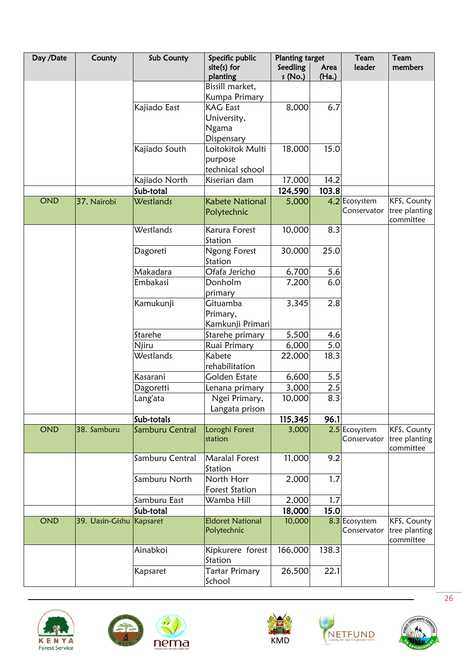| Day /Date  | County                   | Sub County      | Specific public             | <b>Planting target</b> |               | Team          | Team                         |
|------------|--------------------------|-----------------|-----------------------------|------------------------|---------------|---------------|------------------------------|
|            |                          |                 | $site(s)$ for<br>planting   | Seedling<br>s (No.)    | Area<br>(Ha.) | leader        | members                      |
|            |                          |                 | Bissill market,             |                        |               |               |                              |
|            |                          |                 | Kumpa Primary               |                        |               |               |                              |
|            |                          | Kajiado East    | <b>KAG East</b>             | 8,000                  | 6.7           |               |                              |
|            |                          |                 | University,                 |                        |               |               |                              |
|            |                          |                 | <b>Ngama</b>                |                        |               |               |                              |
|            |                          |                 | Dispensary                  |                        |               |               |                              |
|            |                          | Kajiado South   | Loitokitok Multi            | 18,000                 | 15.0          |               |                              |
|            |                          |                 | purpose<br>technical school |                        |               |               |                              |
|            |                          | Kajiado North   | Kiserian dam                | 17,000                 | 14.2          |               |                              |
|            |                          | Sub-total       |                             | 124,590                | 103.8         |               |                              |
| <b>OND</b> | 37. Nairobi              | Westlands       | <b>Kabete National</b>      | 5,000                  |               | 4.2 Ecosystem | KFS, County                  |
|            |                          |                 | Polytechnic                 |                        |               | Conservator   | tree planting<br>committee   |
|            |                          | Westlands       | Karura Forest               | 10,000                 | 8.3           |               |                              |
|            |                          |                 | Station                     |                        |               |               |                              |
|            |                          | Dagoreti        | Ngong Forest                | 30,000                 | 25.0          |               |                              |
|            |                          |                 | Station                     |                        |               |               |                              |
|            |                          | Makadara        | Ofafa Jericho               | 6,700                  | 5.6           |               |                              |
|            |                          | Embakasi        | Donholm                     | 7,200                  | 6.0           |               |                              |
|            |                          |                 | primary                     |                        |               |               |                              |
|            |                          | Kamukunji       | Gituamba                    | 3,345                  | 2.8           |               |                              |
|            |                          |                 | Primary,                    |                        |               |               |                              |
|            |                          |                 | Kamkunji Primari            |                        |               |               |                              |
|            |                          | Starehe         | Starehe primary             | 5,500                  | 4.6           |               |                              |
|            |                          | Njiru           | Ruai Primary                | 6,000                  | 5.0           |               |                              |
|            |                          | Westlands       | Kabete<br>rehabilitation    | 22,000                 | 18.3          |               |                              |
|            |                          | Kasarani        | Golden Estate               | 6,600                  | 5.5           |               |                              |
|            |                          | Dagoretti       | Lenana primary              | 3,000                  | 2.5           |               |                              |
|            |                          | Lang'ata        | Ngei Primary,               | 10,000                 | 8.3           |               |                              |
|            |                          |                 | Langata prison              |                        |               |               |                              |
|            |                          | Sub-totals      |                             | 115,345                | 96.1          |               |                              |
| <b>OND</b> | 38. Samburu              | Samburu Central | Loroghi Forest              | 3,000                  |               | 2.5 Ecosystem | KFS, County                  |
|            |                          |                 | station                     |                        |               | Conservator   | tree planting<br>committee   |
|            |                          | Samburu Central | <b>Maralal Forest</b>       | 11,000                 | 9.2           |               |                              |
|            |                          |                 | Station                     |                        |               |               |                              |
|            |                          | Samburu North   | North Horr                  | 2,000                  | 1.7           |               |                              |
|            |                          |                 | Forest Station              |                        |               |               |                              |
|            |                          | Samburu East    | Wamba Hill                  | 2,000                  | 1.7           |               |                              |
| <b>OND</b> | 39. Uasin-Gishu Kapsaret | Sub-total       | <b>Eldoret National</b>     | 18,000<br>10,000       | 15.0          | 8.3 Ecosystem |                              |
|            |                          |                 | Polytechnic                 |                        |               | Conservator   | KFS, County<br>tree planting |
|            |                          |                 |                             |                        |               |               | committee                    |
|            |                          | Ainabkoi        | Kipkurere forest            | 166,000                | 138.3         |               |                              |
|            |                          |                 | Station                     |                        |               |               |                              |
|            |                          | Kapsaret        | Tartar Primary              | 26,500                 | 22.1          |               |                              |
|            |                          |                 | School                      |                        |               |               |                              |









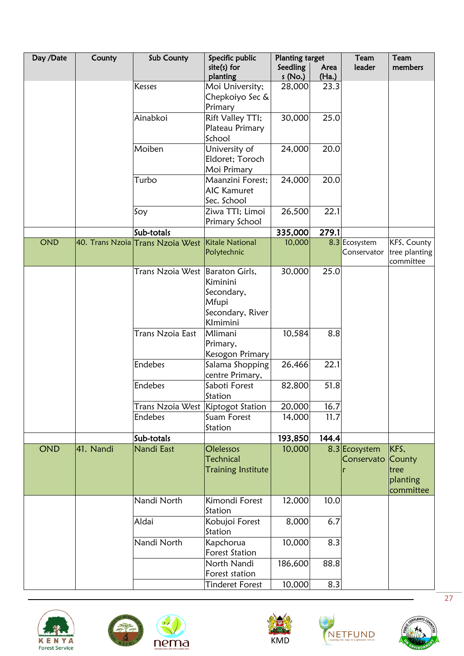| Day /Date  | County    | Sub County                        | Specific public                                                                   | <b>Planting target</b> |               | Team                         | Team                                            |
|------------|-----------|-----------------------------------|-----------------------------------------------------------------------------------|------------------------|---------------|------------------------------|-------------------------------------------------|
|            |           |                                   | $site(s)$ for<br>planting                                                         | Seedling<br>s(No.)     | Area<br>(Ha.) | leader                       | members                                         |
|            |           | <b>Kesses</b>                     | Moi University;<br>Chepkoiyo Sec &<br>Primary                                     | 28,000                 | 23.3          |                              |                                                 |
|            |           | Ainabkoi                          | Rift Valley TTI;<br>Plateau Primary<br>School                                     | 30,000                 | 25.0          |                              |                                                 |
|            |           | Moiben                            | University of<br>Eldoret; Toroch<br>Moi Primary                                   | 24,000                 | 20.0          |                              |                                                 |
|            |           | Turbo                             | Maanzini Forest;<br><b>AIC Kamuret</b><br>Sec. School                             | 24,000                 | 20.0          |                              |                                                 |
|            |           | Soy                               | Ziwa TTI; Limoi<br>Primary School                                                 | 26,500                 | 22.1          |                              |                                                 |
|            |           | Sub-totals                        |                                                                                   | 335,000                | 279.1         |                              |                                                 |
| <b>OND</b> |           | 40. Trans Nzoia Trans Nzoia West  | Kitale National<br>Polytechnic                                                    | 10,000                 |               | 8.3 Ecosystem<br>Conservator | KFS, County<br>tree planting<br>committee       |
|            |           | Trans Nzoia West                  | Baraton Girls,<br>Kiminini<br>Secondary,<br>Mfupi<br>Secondary, River<br>Klmimini | 30,000                 | 25.0          |                              |                                                 |
|            |           | Trans Nzoia East                  | Mlimani<br>Primary,<br>Kesogon Primary                                            | 10,584                 | 8.8           |                              |                                                 |
|            |           | <b>Endebes</b>                    | Salama Shopping<br>centre Primary,                                                | 26,466                 | 22.1          |                              |                                                 |
|            |           | Endebes                           | Saboti Forest<br>Station                                                          | 82,800                 | 51.8          |                              |                                                 |
|            |           | Trans Nzoia West Kiptogot Station |                                                                                   | 20,000                 | 16.7          |                              |                                                 |
|            |           | <b>Endebes</b>                    | Suam Forest<br>Station                                                            | 14,000                 | 11.7          |                              |                                                 |
|            |           | Sub-totals                        |                                                                                   | 193,850                | 144.4         |                              |                                                 |
| <b>OND</b> | 41. Nandi | Nandi East                        | Olelessos<br><b>Technical</b><br><b>Training Institute</b>                        | 10,000                 |               | 8.3 Ecosystem<br>Conservato  | KFS,<br>County<br>tree<br>planting<br>committee |
|            |           | Nandi North                       | Kimondi Forest<br>Station                                                         | 12,000                 | 10.0          |                              |                                                 |
|            |           | Aldai                             | Kobujoi Forest<br>Station                                                         | 8,000                  | 6.7           |                              |                                                 |
|            |           | Nandi North                       | Kapchorua<br><b>Forest Station</b>                                                | 10,000                 | 8.3           |                              |                                                 |
|            |           |                                   | North Nandi<br>Forest station                                                     | 186,600                | 88.8          |                              |                                                 |
|            |           |                                   | <b>Tinderet Forest</b>                                                            | 10,000                 | 8.3           |                              |                                                 |









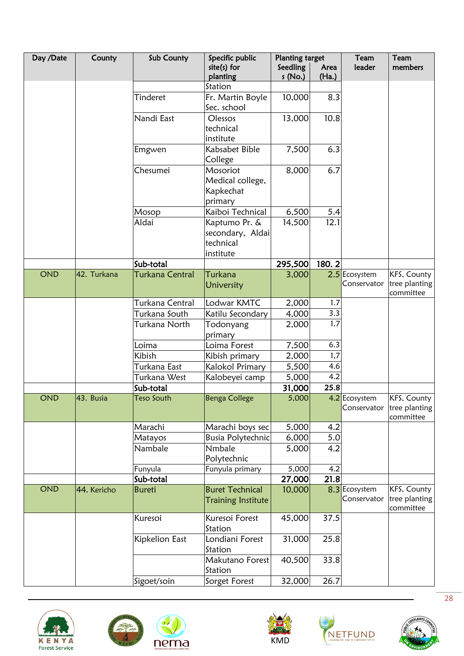| Day /Date  | County      | Sub County        | Specific public                                             | <b>Planting target</b> |               | Team                         | Team                                                  |
|------------|-------------|-------------------|-------------------------------------------------------------|------------------------|---------------|------------------------------|-------------------------------------------------------|
|            |             |                   | $site(s)$ for<br>planting                                   | Seedling<br>s(No.)     | Area<br>(Ha.) | leader                       | members                                               |
|            |             |                   | Station                                                     |                        |               |                              |                                                       |
|            |             | Tinderet          | Fr. Martin Boyle<br>Sec. school                             | 10,000                 | 8.3           |                              |                                                       |
|            |             | Nandi East        | Olessos<br>technical<br>institute                           | 13,000                 | 10.8          |                              |                                                       |
|            |             | Emgwen            | Kabsabet Bible<br>College                                   | 7,500                  | 6.3           |                              |                                                       |
|            |             | Chesumei          | Mosoriot<br>Medical college,<br>Kapkechat<br>primary        | 8,000                  | 6.7           |                              |                                                       |
|            |             | Mosop             | Kaiboi Technical                                            | 6,500                  | 5.4           |                              |                                                       |
|            |             | Aldai             | Kaptumo Pr. &<br>secondary, Aldai<br>technical<br>institute | 14,500                 | 12.1          |                              |                                                       |
|            |             | Sub-total         |                                                             | 295,500                | 180.2         |                              |                                                       |
| <b>OND</b> | 42. Turkana | Turkana Central   | Turkana<br>University                                       | 3,000                  |               | 2.5 Ecosystem<br>Conservator | KFS, County<br>tree planting<br>committee             |
|            |             | Turkana Central   | Lodwar KMTC                                                 | 2,000                  | 1.7           |                              |                                                       |
|            |             | Turkana South     | Katilu Secondary                                            | 4,000                  | 3.3           |                              |                                                       |
|            |             | Turkana North     | Todonyang<br>primary                                        | 2,000                  | 1.7           |                              |                                                       |
|            |             | Loima             | Loima Forest                                                | 7,500                  | 6.3           |                              |                                                       |
|            |             | Kibish            | Kibish primary                                              | 2,000                  | 1,7           |                              |                                                       |
|            |             | Turkana East      | Kalokol Primary                                             | 5,500                  | 4.6           |                              |                                                       |
|            |             | Turkana West      | Kalobeyei camp                                              | 5,000                  | 4.2           |                              |                                                       |
|            |             | Sub-total         |                                                             | 31,000                 | 25.8          |                              |                                                       |
| <b>OND</b> | 43. Busia   | <b>Teso South</b> | Benga College                                               | 5,000                  |               | 4.2 Ecosystem                | KFS, County<br>Conservator tree planting<br>committee |
|            |             | Marachi           | Marachi boys sec                                            | 5,000                  | 4.2           |                              |                                                       |
|            |             | Matayos           | <b>Busia Polytechnic</b>                                    | 6,000                  | 5.0           |                              |                                                       |
|            |             | Nambale           | Nmbale<br>Polytechnic                                       | 5,000                  | 4.2           |                              |                                                       |
|            |             | Funyula           | Funyula primary                                             | 5,000                  | 4.2           |                              |                                                       |
|            |             | Sub-total         |                                                             | 27,000                 | 21.8          |                              |                                                       |
| OND        | 44. Kericho | <b>Bureti</b>     | <b>Buret Technical</b><br><b>Training Institute</b>         | 10,000                 |               | 8.3 Ecosystem<br>Conservator | KFS, County<br>tree planting<br>committee             |
|            |             | Kuresoi           | Kuresoi Forest<br>Station                                   | 45,000                 | 37.5          |                              |                                                       |
|            |             | Kipkelion East    | Londiani Forest<br>Station                                  | 31,000                 | 25.8          |                              |                                                       |
|            |             |                   | Makutano Forest<br>Station                                  | 40,500                 | 33.8          |                              |                                                       |
|            |             | Sigoet/soin       | Sorget Forest                                               | 32,000                 | 26.7          |                              |                                                       |









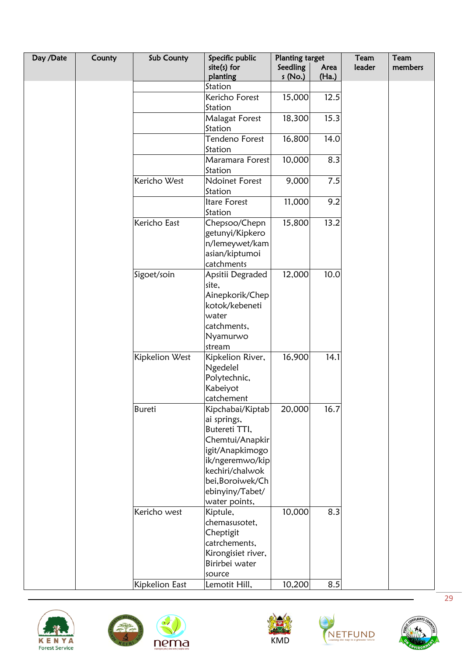| Day /Date | County | Sub County     | Specific public                    | <b>Planting target</b> |               | Team   | Team    |
|-----------|--------|----------------|------------------------------------|------------------------|---------------|--------|---------|
|           |        |                | $site(s)$ for<br>planting          | Seedling<br>s (No.)    | Area<br>(Ha.) | leader | members |
|           |        |                | Station                            |                        |               |        |         |
|           |        |                | Kericho Forest                     | 15,000                 | 12.5          |        |         |
|           |        |                | Station                            |                        |               |        |         |
|           |        |                | <b>Malagat Forest</b>              | 18,300                 | 15.3          |        |         |
|           |        |                | Station                            |                        |               |        |         |
|           |        |                | Tendeno Forest                     | 16,800                 | 14.0          |        |         |
|           |        |                | Station                            |                        |               |        |         |
|           |        |                | Maramara Forest                    | 10,000                 | 8.3           |        |         |
|           |        |                | Station                            |                        |               |        |         |
|           |        | Kericho West   | <b>Ndoinet Forest</b>              | 9,000                  | 7.5           |        |         |
|           |        |                | Station                            |                        |               |        |         |
|           |        |                | Itare Forest                       | 11,000                 | 9.2           |        |         |
|           |        |                | Station                            |                        |               |        |         |
|           |        | Kericho East   | Chepsoo/Chepn                      | 15,800                 | 13.2          |        |         |
|           |        |                | getunyi/Kipkero                    |                        |               |        |         |
|           |        |                | n/lemeywet/kam<br>asian/kiptumoi   |                        |               |        |         |
|           |        |                | catchments                         |                        |               |        |         |
|           |        | Sigoet/soin    | Apsitii Degraded                   | 12,000                 | 10.0          |        |         |
|           |        |                | site,                              |                        |               |        |         |
|           |        |                | Ainepkorik/Chep                    |                        |               |        |         |
|           |        |                | kotok/kebeneti                     |                        |               |        |         |
|           |        |                | water                              |                        |               |        |         |
|           |        |                | catchments,                        |                        |               |        |         |
|           |        |                | Nyamurwo                           |                        |               |        |         |
|           |        |                | stream                             |                        |               |        |         |
|           |        | Kipkelion West | Kipkelion River,                   | 16,900                 | 14.1          |        |         |
|           |        |                | Ngedelel                           |                        |               |        |         |
|           |        |                | Polytechnic,                       |                        |               |        |         |
|           |        |                | Kabeiyot                           |                        |               |        |         |
|           |        |                | catchement                         |                        |               |        |         |
|           |        | Bureti         | Kipchabai/Kiptab                   | 20,000                 | 16.7          |        |         |
|           |        |                | ai springs,                        |                        |               |        |         |
|           |        |                | Butereti TTI,                      |                        |               |        |         |
|           |        |                | Chemtui/Anapkir<br>igit/Anapkimogo |                        |               |        |         |
|           |        |                | ik/ngeremwo/kip                    |                        |               |        |         |
|           |        |                | kechiri/chalwok                    |                        |               |        |         |
|           |        |                | bei, Boroiwek/Ch                   |                        |               |        |         |
|           |        |                | ebinyiny/Tabet/                    |                        |               |        |         |
|           |        |                | water points,                      |                        |               |        |         |
|           |        | Kericho west   | Kiptule,                           | 10,000                 | 8.3           |        |         |
|           |        |                | chemasusotet,                      |                        |               |        |         |
|           |        |                | Cheptigit                          |                        |               |        |         |
|           |        |                | catrchements,                      |                        |               |        |         |
|           |        |                | Kirongisiet river,                 |                        |               |        |         |
|           |        |                | Birirbei water                     |                        |               |        |         |
|           |        |                | source                             |                        |               |        |         |
|           |        | Kipkelion East | Lemotit Hill,                      | 10,200                 | 8.5           |        |         |









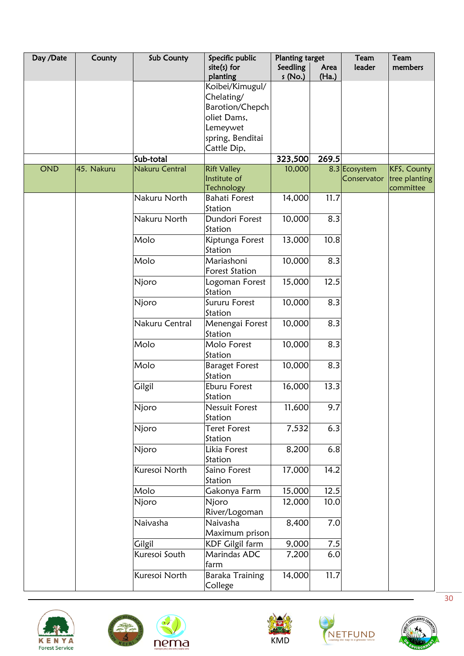| Day /Date  | County     | Sub County            | Specific public           | <b>Planting target</b> |               | Team          | Team               |
|------------|------------|-----------------------|---------------------------|------------------------|---------------|---------------|--------------------|
|            |            |                       | $site(s)$ for<br>planting | Seedling<br>s (No.)    | Area<br>(Ha.) | leader        | members            |
|            |            |                       | Koibei/Kimugul/           |                        |               |               |                    |
|            |            |                       | Chelating/                |                        |               |               |                    |
|            |            |                       | Barotion/Chepch           |                        |               |               |                    |
|            |            |                       | oliet Dams,               |                        |               |               |                    |
|            |            |                       | Lemeywet                  |                        |               |               |                    |
|            |            |                       | spring, Benditai          |                        |               |               |                    |
|            |            |                       | Cattle Dip,               |                        |               |               |                    |
|            |            | Sub-total             |                           | 323,500                | 269.5         |               |                    |
| <b>OND</b> | 45. Nakuru | <b>Nakuru Central</b> | <b>Rift Valley</b>        | 10,000                 |               | 8.3 Ecosystem | <b>KFS, County</b> |
|            |            |                       | Institute of              |                        |               | Conservator   | tree planting      |
|            |            |                       | <b>Technology</b>         |                        |               |               | committee          |
|            |            | Nakuru North          | <b>Bahati Forest</b>      | 14,000                 | 11.7          |               |                    |
|            |            |                       | Station                   |                        |               |               |                    |
|            |            | Nakuru North          | Dundori Forest            | 10,000                 | 8.3           |               |                    |
|            |            |                       | Station                   |                        |               |               |                    |
|            |            | Molo                  | Kiptunga Forest           | 13,000                 | 10.8          |               |                    |
|            |            |                       | Station                   |                        |               |               |                    |
|            |            | Molo                  | Mariashoni                | 10,000                 | 8.3           |               |                    |
|            |            |                       | <b>Forest Station</b>     |                        |               |               |                    |
|            |            | Njoro                 | Logoman Forest            | 15,000                 | 12.5          |               |                    |
|            |            |                       | Station                   |                        |               |               |                    |
|            |            | Njoro                 | Sururu Forest             | 10,000                 | 8.3           |               |                    |
|            |            |                       | Station                   |                        |               |               |                    |
|            |            | Nakuru Central        | Menengai Forest           | 10,000                 | 8.3           |               |                    |
|            |            |                       | Station                   |                        |               |               |                    |
|            |            | Molo                  | Molo Forest               | 10,000                 | 8.3           |               |                    |
|            |            |                       | Station                   |                        |               |               |                    |
|            |            | Molo                  | <b>Baraget Forest</b>     | 10,000                 | 8.3           |               |                    |
|            |            |                       | Station                   |                        |               |               |                    |
|            |            | Gilgil                | Eburu Forest              | 16,000                 | 13.3          |               |                    |
|            |            |                       | Station                   |                        |               |               |                    |
|            |            | Njoro                 | <b>Nessuit Forest</b>     | 11,600                 | 9.7           |               |                    |
|            |            |                       | Station                   |                        |               |               |                    |
|            |            | Njoro                 | Teret Forest              | 7,532                  | 6.3           |               |                    |
|            |            |                       | Station                   |                        |               |               |                    |
|            |            | Njoro                 | Likia Forest              | 8,200                  | 6.8           |               |                    |
|            |            |                       | Station                   |                        |               |               |                    |
|            |            | Kuresoi North         | Saino Forest              | 17,000                 | 14.2          |               |                    |
|            |            |                       | Station                   |                        |               |               |                    |
|            |            | Molo                  | Gakonya Farm              | 15,000                 | 12.5          |               |                    |
|            |            | Njoro                 | Njoro                     | 12,000                 | 10.0          |               |                    |
|            |            |                       | River/Logoman             |                        |               |               |                    |
|            |            | Naivasha              | Naivasha                  | 8,400                  | 7.0           |               |                    |
|            |            |                       | Maximum prison            |                        |               |               |                    |
|            |            | Gilgil                | <b>KDF Gilgil farm</b>    | 9,000                  | 7.5           |               |                    |
|            |            | Kuresoi South         | Marindas ADC              | 7,200                  | 6.0           |               |                    |
|            |            |                       | farm                      |                        |               |               |                    |
|            |            | Kuresoi North         | Baraka Training           | 14,000                 | 11.7          |               |                    |
|            |            |                       | College                   |                        |               |               |                    |





 $\mathbf{d}$ 





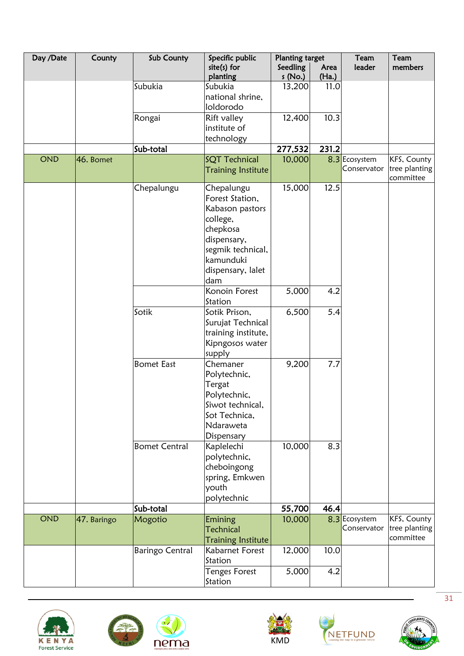| Day /Date  | County      | Sub County             | Specific public                              | <b>Planting target</b> |               | Team                         | Team          |
|------------|-------------|------------------------|----------------------------------------------|------------------------|---------------|------------------------------|---------------|
|            |             |                        | $site(s)$ for                                | Seedling               | Area          | leader                       | members       |
|            |             | Subukia                | planting<br>Subukia                          | s(No.)                 | (Ha.)<br>11.0 |                              |               |
|            |             |                        | national shrine,                             | 13,200                 |               |                              |               |
|            |             |                        | loldorodo                                    |                        |               |                              |               |
|            |             | Rongai                 | Rift valley                                  | 12,400                 | 10.3          |                              |               |
|            |             |                        | institute of                                 |                        |               |                              |               |
|            |             |                        | technology                                   |                        |               |                              |               |
|            |             | Sub-total              |                                              | 277,532                | 231.2         |                              |               |
| <b>OND</b> | 46. Bomet   |                        | SQT Technical                                | 10,000                 |               | 8.3 Ecosystem                | KFS, County   |
|            |             |                        | <b>Training Institute</b>                    |                        |               | Conservator                  | tree planting |
|            |             |                        |                                              |                        |               |                              | committee     |
|            |             | Chepalungu             | Chepalungu                                   | 15,000                 | 12.5          |                              |               |
|            |             |                        | Forest Station,                              |                        |               |                              |               |
|            |             |                        | Kabason pastors                              |                        |               |                              |               |
|            |             |                        | college,                                     |                        |               |                              |               |
|            |             |                        | chepkosa                                     |                        |               |                              |               |
|            |             |                        | dispensary,                                  |                        |               |                              |               |
|            |             |                        | segmik technical,                            |                        |               |                              |               |
|            |             |                        | kamunduki                                    |                        |               |                              |               |
|            |             |                        | dispensary, lalet                            |                        |               |                              |               |
|            |             |                        | dam                                          |                        |               |                              |               |
|            |             |                        | Konoin Forest                                | 5,000                  | 4.2           |                              |               |
|            |             |                        | Station                                      |                        |               |                              |               |
|            |             | Sotik                  | Sotik Prison,                                | 6,500                  | 5.4           |                              |               |
|            |             |                        | Surujat Technical                            |                        |               |                              |               |
|            |             |                        | training institute,                          |                        |               |                              |               |
|            |             |                        | Kipngosos water                              |                        |               |                              |               |
|            |             |                        | supply                                       |                        |               |                              |               |
|            |             | <b>Bomet East</b>      | Chemaner                                     | 9,200                  | 7.7           |                              |               |
|            |             |                        | Polytechnic,                                 |                        |               |                              |               |
|            |             |                        | Tergat                                       |                        |               |                              |               |
|            |             |                        | Polytechnic,                                 |                        |               |                              |               |
|            |             |                        | Siwot technical,                             |                        |               |                              |               |
|            |             |                        | Sot Technica,                                |                        |               |                              |               |
|            |             |                        | Ndaraweta                                    |                        |               |                              |               |
|            |             |                        | Dispensary                                   |                        |               |                              |               |
|            |             | <b>Bomet Central</b>   | Kaplelechi                                   | 10,000                 | 8.3           |                              |               |
|            |             |                        | polytechnic,                                 |                        |               |                              |               |
|            |             |                        | cheboingong                                  |                        |               |                              |               |
|            |             |                        | spring, Emkwen                               |                        |               |                              |               |
|            |             |                        | youth                                        |                        |               |                              |               |
|            |             |                        | polytechnic                                  |                        |               |                              |               |
| <b>OND</b> |             | Sub-total              |                                              | 55,700                 | 46.4          |                              | KFS, County   |
|            | 47. Baringo | Mogotio                | Emining                                      | 10,000                 |               | 8.3 Ecosystem<br>Conservator | tree planting |
|            |             |                        | <b>Technical</b>                             |                        |               |                              | committee     |
|            |             |                        | <b>Training Institute</b><br>Kabarnet Forest |                        | 10.0          |                              |               |
|            |             | <b>Baringo Central</b> | Station                                      | 12,000                 |               |                              |               |
|            |             |                        |                                              |                        | 4.2           |                              |               |
|            |             |                        | Tenges Forest<br>Station                     | 5,000                  |               |                              |               |
|            |             |                        |                                              |                        |               |                              |               |









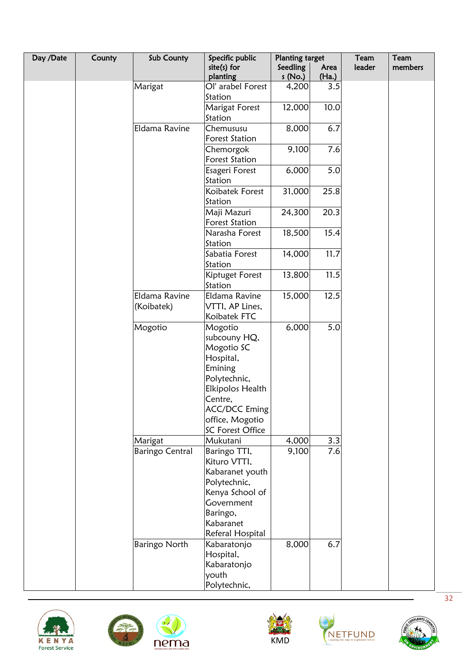| Day /Date | County | Sub County             | Specific public            | <b>Planting target</b> |               | Team   | Team    |
|-----------|--------|------------------------|----------------------------|------------------------|---------------|--------|---------|
|           |        |                        | $site(s)$ for<br>planting  | Seedling<br>s(No.)     | Area<br>(Ha.) | leader | members |
|           |        | Marigat                | Ol' arabel Forest          | 4,200                  | 3.5           |        |         |
|           |        |                        | Station                    |                        |               |        |         |
|           |        |                        | <b>Marigat Forest</b>      | 12,000                 | 10.0          |        |         |
|           |        |                        | Station                    |                        |               |        |         |
|           |        | Eldama Ravine          | Chemususu                  | 8,000                  | 6.7           |        |         |
|           |        |                        | <b>Forest Station</b>      |                        |               |        |         |
|           |        |                        | Chemorgok                  | 9,100                  | 7.6           |        |         |
|           |        |                        | <b>Forest Station</b>      |                        |               |        |         |
|           |        |                        | Esageri Forest             | 6,000                  | 5.0           |        |         |
|           |        |                        | Station                    |                        |               |        |         |
|           |        |                        | Koibatek Forest<br>Station | 31,000                 | 25.8          |        |         |
|           |        |                        | Maji Mazuri                | 24,300                 | 20.3          |        |         |
|           |        |                        | <b>Forest Station</b>      |                        |               |        |         |
|           |        |                        | Narasha Forest             | 18,500                 | 15.4          |        |         |
|           |        |                        | Station                    |                        |               |        |         |
|           |        |                        | Sabatia Forest             | 14,000                 | 11.7          |        |         |
|           |        |                        | Station                    |                        |               |        |         |
|           |        |                        | Kiptuget Forest            | 13,800                 | 11.5          |        |         |
|           |        |                        | Station                    |                        |               |        |         |
|           |        | Eldama Ravine          | Eldama Ravine              | 15,000                 | 12.5          |        |         |
|           |        | (Koibatek)             | VTTI, AP Lines,            |                        |               |        |         |
|           |        |                        | Koibatek FTC               |                        |               |        |         |
|           |        | Mogotio                | Mogotio                    | 6,000                  | 5.0           |        |         |
|           |        |                        | subcouny HQ,               |                        |               |        |         |
|           |        |                        | Mogotio SC                 |                        |               |        |         |
|           |        |                        | Hospital,                  |                        |               |        |         |
|           |        |                        | Emining                    |                        |               |        |         |
|           |        |                        | Polytechnic,               |                        |               |        |         |
|           |        |                        | <b>Elkipolos Health</b>    |                        |               |        |         |
|           |        |                        | Centre,                    |                        |               |        |         |
|           |        |                        | <b>ACC/DCC Eming</b>       |                        |               |        |         |
|           |        |                        | office, Mogotio            |                        |               |        |         |
|           |        |                        | SC Forest Office           |                        |               |        |         |
|           |        | Marigat                | Mukutani                   | 4,000                  | 3.3           |        |         |
|           |        | <b>Baringo Central</b> | Baringo TTI,               | 9,100                  | 7.6           |        |         |
|           |        |                        | Kituro VTTI,               |                        |               |        |         |
|           |        |                        | Kabaranet youth            |                        |               |        |         |
|           |        |                        | Polytechnic,               |                        |               |        |         |
|           |        |                        | Kenya School of            |                        |               |        |         |
|           |        |                        | Government                 |                        |               |        |         |
|           |        |                        | Baringo,                   |                        |               |        |         |
|           |        |                        | Kabaranet                  |                        |               |        |         |
|           |        |                        | Referal Hospital           |                        | 6.7           |        |         |
|           |        | Baringo North          | Kabaratonjo                | 8,000                  |               |        |         |
|           |        |                        | Hospital,                  |                        |               |        |         |
|           |        |                        | Kabaratonjo                |                        |               |        |         |
|           |        |                        | youth                      |                        |               |        |         |
|           |        |                        | Polytechnic,               |                        |               |        |         |





 $\mathbf{c}$ 





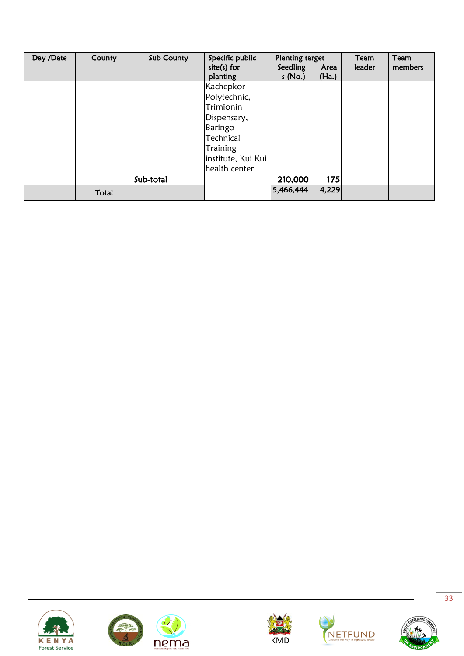| Day /Date | County | Sub County | Specific public<br>$site(s)$ for | Planting target<br>Seedling | Area  | Team<br>leader | Team<br>members |
|-----------|--------|------------|----------------------------------|-----------------------------|-------|----------------|-----------------|
|           |        |            | planting                         | s(No.)                      | (Ha.) |                |                 |
|           |        |            | Kachepkor                        |                             |       |                |                 |
|           |        |            | Polytechnic,                     |                             |       |                |                 |
|           |        |            | Trimionin                        |                             |       |                |                 |
|           |        |            | Dispensary,                      |                             |       |                |                 |
|           |        |            | Baringo                          |                             |       |                |                 |
|           |        |            | Technical                        |                             |       |                |                 |
|           |        |            | <b>Training</b>                  |                             |       |                |                 |
|           |        |            | institute, Kui Kui               |                             |       |                |                 |
|           |        |            | health center                    |                             |       |                |                 |
|           |        | Sub-total  |                                  | 210,000                     | 175   |                |                 |
|           | Total  |            |                                  | 5,466,444                   | 4,229 |                |                 |